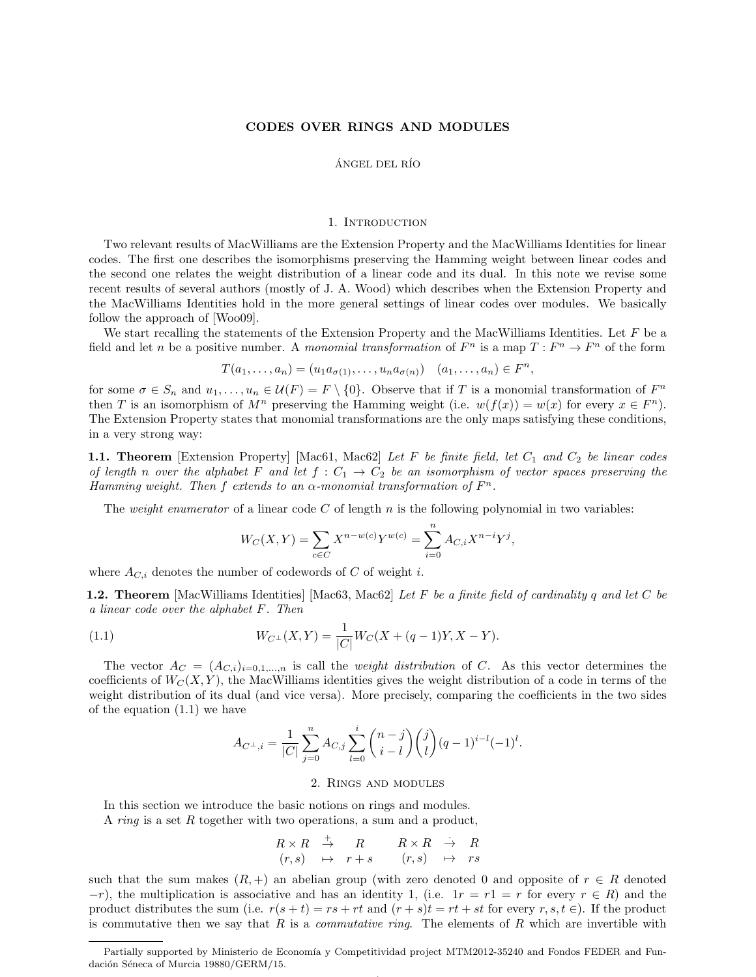## CODES OVER RINGS AND MODULES

## ÁNGEL DEL RÍO

## 1. INTRODUCTION

Two relevant results of MacWilliams are the Extension Property and the MacWilliams Identities for linear codes. The first one describes the isomorphisms preserving the Hamming weight between linear codes and the second one relates the weight distribution of a linear code and its dual. In this note we revise some recent results of several authors (mostly of J. A. Wood) which describes when the Extension Property and the MacWilliams Identities hold in the more general settings of linear codes over modules. We basically follow the approach of [\[Woo09\]](#page-23-0).

We start recalling the statements of the Extension Property and the MacWilliams Identities. Let  $F$  be a field and let *n* be a positive number. A monomial transformation of  $F^n$  is a map  $T: F^n \to F^n$  of the form

$$
T(a_1,\ldots,a_n)=(u_1a_{\sigma(1)},\ldots,u_na_{\sigma(n)})\quad (a_1,\ldots,a_n)\in F^n,
$$

for some  $\sigma \in S_n$  and  $u_1, \ldots, u_n \in \mathcal{U}(F) = F \setminus \{0\}$ . Observe that if T is a monomial transformation of  $F^n$ then T is an isomorphism of  $M^n$  preserving the Hamming weight (i.e.  $w(f(x)) = w(x)$  for every  $x \in F^n$ ). The Extension Property states that monomial transformations are the only maps satisfying these conditions, in a very strong way:

**1.1. Theorem** [Extension Property] [\[Mac61,](#page-23-1) [Mac62\]](#page-23-2) Let F be finite field, let  $C_1$  and  $C_2$  be linear codes of length n over the alphabet F and let  $f: C_1 \rightarrow C_2$  be an isomorphism of vector spaces preserving the Hamming weight. Then f extends to an  $\alpha$ -monomial transformation of  $F^n$ .

The weight enumerator of a linear code  $C$  of length  $n$  is the following polynomial in two variables:

$$
W_C(X,Y) = \sum_{c \in C} X^{n-w(c)} Y^{w(c)} = \sum_{i=0}^n A_{C,i} X^{n-i} Y^j,
$$

where  $A_{C,i}$  denotes the number of codewords of C of weight i.

**1.2. Theorem** [MacWilliams Identities] [\[Mac63,](#page-23-3) [Mac62\]](#page-23-2) Let F be a finite field of cardinality q and let C be a linear code over the alphabet F. Then

(1.1) 
$$
W_{C^{\perp}}(X,Y) = \frac{1}{|C|}W_C(X + (q-1)Y, X - Y).
$$

The vector  $A_C = (A_{C,i})_{i=0,1,...,n}$  is call the *weight distribution* of C. As this vector determines the coefficients of  $W_C(X, Y)$ , the MacWilliams identities gives the weight distribution of a code in terms of the weight distribution of its dual (and vice versa). More precisely, comparing the coefficients in the two sides of the equation [\(1.1\)](#page-0-0) we have

<span id="page-0-0"></span>
$$
A_{C^{\perp},i} = \frac{1}{|C|} \sum_{j=0}^{n} A_{C,j} \sum_{l=0}^{i} {n-j \choose i-l} {j \choose l} (q-1)^{i-l} (-1)^{l}.
$$

#### 2. Rings and modules

In this section we introduce the basic notions on rings and modules.

A ring is a set R together with two operations, a sum and a product,

$$
\begin{array}{rcl}\nR \times R & \stackrel{+}{\to} & R \\
(r,s) & \mapsto & r+s \\
\end{array}\n\qquad\n\begin{array}{rcl}\nR \times R & \stackrel{.}{\to} & R \\
(r,s) & \mapsto & rs\n\end{array}
$$

such that the sum makes  $(R, +)$  an abelian group (with zero denoted 0 and opposite of  $r \in R$  denoted  $-r$ ), the multiplication is associative and has an identity 1, (i.e.  $1r = r1 = r$  for every  $r \in R$ ) and the product distributes the sum (i.e.  $r(s + t) = rs + rt$  and  $(r + s)t = rt + st$  for every  $r, s, t \in$ ). If the product is commutative then we say that R is a *commutative ring*. The elements of R which are invertible with

Partially supported by Ministerio de Economía y Competitividad project MTM2012-35240 and Fondos FEDER and Fundación Séneca of Murcia 19880/GERM/15.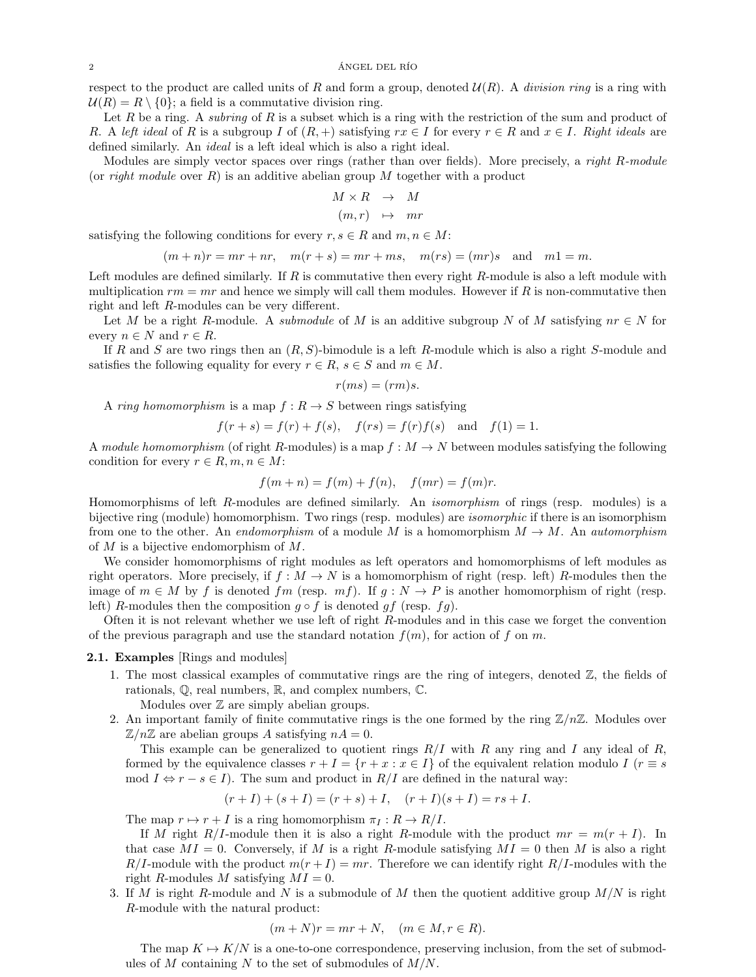$\angle$  2  $\angle$   $\angle$   $\angle$  ANGEL DEL RÍO

respect to the product are called units of R and form a group, denoted  $\mathcal{U}(R)$ . A division ring is a ring with  $U(R) = R \setminus \{0\}$ ; a field is a commutative division ring.

Let R be a ring. A subring of R is a subset which is a ring with the restriction of the sum and product of R. A left ideal of R is a subgroup I of  $(R,+)$  satisfying  $rx \in I$  for every  $r \in R$  and  $x \in I$ . Right ideals are defined similarly. An ideal is a left ideal which is also a right ideal.

Modules are simply vector spaces over rings (rather than over fields). More precisely, a right R-module (or *right module* over  $R$ ) is an additive abelian group  $M$  together with a product

$$
M \times R \quad \rightarrow \quad M
$$

$$
(m,r)\quad\mapsto\quad mr
$$

satisfying the following conditions for every  $r, s \in R$  and  $m, n \in M$ :

$$
(m+n)r = mr + nr, \quad m(r+s) = mr + ms, \quad m(rs) = (mr)s \quad \text{and} \quad m1 = m.
$$

Left modules are defined similarly. If  $R$  is commutative then every right  $R$ -module is also a left module with multiplication  $rm = mr$  and hence we simply will call them modules. However if R is non-commutative then right and left R-modules can be very different.

Let M be a right R-module. A *submodule* of M is an additive subgroup N of M satisfying  $nr \in N$  for every  $n \in N$  and  $r \in R$ .

If R and S are two rings then an  $(R, S)$ -bimodule is a left R-module which is also a right S-module and satisfies the following equality for every  $r \in R$ ,  $s \in S$  and  $m \in M$ .

$$
r(ms) = (rm)s.
$$

A ring homomorphism is a map  $f: R \to S$  between rings satisfying

$$
f(r+s) = f(r) + f(s)
$$
,  $f(rs) = f(r)f(s)$  and  $f(1) = 1$ .

A module homomorphism (of right R-modules) is a map  $f : M \to N$  between modules satisfying the following condition for every  $r \in R, m, n \in M$ :

$$
f(m+n) = f(m) + f(n), \quad f(mr) = f(m)r.
$$

Homomorphisms of left R-modules are defined similarly. An isomorphism of rings (resp. modules) is a bijective ring (module) homomorphism. Two rings (resp. modules) are isomorphic if there is an isomorphism from one to the other. An endomorphism of a module M is a homomorphism  $M \to M$ . An automorphism of  $M$  is a bijective endomorphism of  $M$ .

We consider homomorphisms of right modules as left operators and homomorphisms of left modules as right operators. More precisely, if  $f : M \to N$  is a homomorphism of right (resp. left) R-modules then the image of  $m \in M$  by f is denoted fm (resp.  $mf$ ). If  $g : N \to P$  is another homomorphism of right (resp. left) R-modules then the composition  $g \circ f$  is denoted  $gf$  (resp.  $fg$ ).

Often it is not relevant whether we use left of right R-modules and in this case we forget the convention of the previous paragraph and use the standard notation  $f(m)$ , for action of f on m.

# <span id="page-1-0"></span>2.1. Examples [Rings and modules]

- 1. The most classical examples of commutative rings are the ring of integers, denoted  $\mathbb{Z}$ , the fields of rationals, Q, real numbers, R, and complex numbers, C.
	- Modules over  $\mathbb Z$  are simply abelian groups.
- <span id="page-1-2"></span>2. An important family of finite commutative rings is the one formed by the ring  $\mathbb{Z}/n\mathbb{Z}$ . Modules over  $\mathbb{Z}/n\mathbb{Z}$  are abelian groups A satisfying  $nA = 0$ .

This example can be generalized to quotient rings  $R/I$  with R any ring and I any ideal of R, formed by the equivalence classes  $r + I = \{r + x : x \in I\}$  of the equivalent relation modulo I  $(r \equiv s$ mod  $I \Leftrightarrow r - s \in I$ ). The sum and product in  $R/I$  are defined in the natural way:

$$
(r+I) + (s+I) = (r+s) + I
$$
,  $(r+I)(s+I) = rs + I$ .

The map  $r \mapsto r + I$  is a ring homomorphism  $\pi_I : R \to R/I$ .

If M right R/I-module then it is also a right R-module with the product  $mr = m(r + I)$ . In that case  $MI = 0$ . Conversely, if M is a right R-module satisfying  $MI = 0$  then M is also a right  $R/I$ -module with the product  $m(r+I) = mr$ . Therefore we can identify right  $R/I$ -modules with the right R-modules M satisfying  $MI = 0$ .

<span id="page-1-1"></span>3. If M is right R-module and N is a submodule of M then the quotient additive group  $M/N$  is right R-module with the natural product:

$$
(m+N)r = mr + N, \quad (m \in M, r \in R).
$$

The map  $K \mapsto K/N$  is a one-to-one correspondence, preserving inclusion, from the set of submodules of M containing N to the set of submodules of  $M/N$ .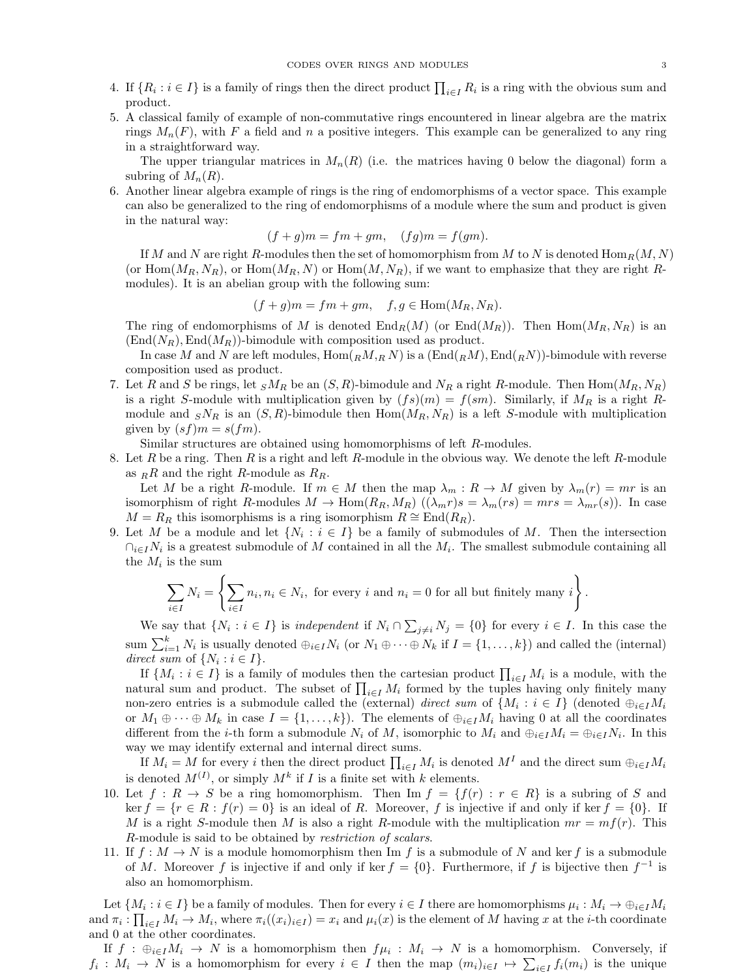- 
- 4. If  $\{R_i : i \in I\}$  is a family of rings then the direct product  $\prod_{i \in I} R_i$  is a ring with the obvious sum and product.
- 5. A classical family of example of non-commutative rings encountered in linear algebra are the matrix rings  $M_n(F)$ , with F a field and n a positive integers. This example can be generalized to any ring in a straightforward way.

The upper triangular matrices in  $M_n(R)$  (i.e. the matrices having 0 below the diagonal) form a subring of  $M_n(R)$ .

<span id="page-2-0"></span>6. Another linear algebra example of rings is the ring of endomorphisms of a vector space. This example can also be generalized to the ring of endomorphisms of a module where the sum and product is given in the natural way:

$$
(f+g)m = fm + gm, \quad (fg)m = f(gm).
$$

If M and N are right R-modules then the set of homomorphism from M to N is denoted  $\text{Hom}_R(M, N)$ (or  $\text{Hom}(M_R, N_R)$ , or  $\text{Hom}(M_R, N)$  or  $\text{Hom}(M, N_R)$ , if we want to emphasize that they are right Rmodules). It is an abelian group with the following sum:

$$
(f+g)m = fm + gm, \quad f, g \in \text{Hom}(M_R, N_R).
$$

The ring of endomorphisms of M is denoted  $\text{End}_R(M)$  (or  $\text{End}(M_R)$ ). Then  $\text{Hom}(M_R, N_R)$  is an  $(\text{End}(N_R), \text{End}(M_R))$ -bimodule with composition used as product.

In case M and N are left modules,  $\text{Hom}_{R(M,R)}(N)$  is a  $(\text{End}_{R(M)},\text{End}_{R(N)})$ -bimodule with reverse composition used as product.

<span id="page-2-1"></span>7. Let R and S be rings, let  $sM_R$  be an  $(S, R)$ -bimodule and  $N_R$  a right R-module. Then  $\text{Hom}(M_R, N_R)$ is a right S-module with multiplication given by  $(fs)(m) = f(sm)$ . Similarly, if  $M_R$  is a right Rmodule and  $sN_R$  is an  $(S, R)$ -bimodule then Hom $(M_R, N_R)$  is a left S-module with multiplication given by  $(sf)m = s(fm)$ .

Similar structures are obtained using homomorphisms of left R-modules.

8. Let R be a ring. Then R is a right and left R-module in the obvious way. We denote the left R-module as  $_RR$  and the right R-module as  $R_R$ .

Let M be a right R-module. If  $m \in M$  then the map  $\lambda_m : R \to M$  given by  $\lambda_m(r) = mr$  is an isomorphism of right R-modules  $M \to \text{Hom}(R_R, M_R)$   $((\lambda_m r)s = \lambda_m (rs) = mr s = \lambda_{mr}(s))$ . In case  $M = R_R$  this isomorphisms is a ring isomorphism  $R \cong \text{End}(R_R)$ .

9. Let M be a module and let  $\{N_i : i \in I\}$  be a family of submodules of M. Then the intersection  $\cap_{i\in I}N_i$  is a greatest submodule of M contained in all the  $M_i$ . The smallest submodule containing all the  $M_i$  is the sum

$$
\sum_{i \in I} N_i = \left\{ \sum_{i \in I} n_i, n_i \in N_i, \text{ for every } i \text{ and } n_i = 0 \text{ for all but finitely many } i \right\}.
$$

We say that  $\{N_i : i \in I\}$  is independent if  $N_i \cap \sum_{j \neq i} N_j = \{0\}$  for every  $i \in I$ . In this case the sum  $\sum_{i=1}^k N_i$  is usually denoted  $\bigoplus_{i\in I} N_i$  (or  $N_1 \oplus \cdots \oplus N_k$  if  $I = \{1, \ldots, k\}$ ) and called the (internal) direct sum of  $\{N_i : i \in I\}.$ 

If  $\{M_i : i \in I\}$  is a family of modules then the cartesian product  $\prod_{i \in I} M_i$  is a module, with the natural sum and product. The subset of  $\prod_{i\in I} M_i$  formed by the tuples having only finitely many non-zero entries is a submodule called the (external) *direct sum* of  $\{M_i : i \in I\}$  (denoted  $\bigoplus_{i \in I} M_i$ or  $M_1 \oplus \cdots \oplus M_k$  in case  $I = \{1, \ldots, k\}$ . The elements of  $\oplus_{i \in I} M_i$  having 0 at all the coordinates different from the *i*-th form a submodule  $N_i$  of M, isomorphic to  $M_i$  and  $\bigoplus_{i\in I}M_i = \bigoplus_{i\in I}N_i$ . In this way we may identify external and internal direct sums.

If  $M_i = M$  for every i then the direct product  $\prod_{i \in I} M_i$  is denoted  $M^I$  and the direct sum  $\bigoplus_{i \in I} M_i$ is denoted  $M^{(I)}$ , or simply  $M^k$  if I is a finite set with k elements.

- 10. Let  $f: R \to S$  be a ring homomorphism. Then Im  $f = \{f(r) : r \in R\}$  is a subring of S and ker  $f = \{r \in R : f(r) = 0\}$  is an ideal of R. Moreover, f is injective if and only if ker  $f = \{0\}$ . If M is a right S-module then M is also a right R-module with the multiplication  $mr = mf(r)$ . This R-module is said to be obtained by restriction of scalars.
- 11. If  $f : M \to N$  is a module homomorphism then Im f is a submodule of N and kerf is a submodule of M. Moreover f is injective if and only if ker  $f = \{0\}$ . Furthermore, if f is bijective then  $f^{-1}$  is also an homomorphism.

Let  $\{M_i : i \in I\}$  be a family of modules. Then for every  $i \in I$  there are homomorphisms  $\mu_i : M_i \to \bigoplus_{i \in I} M_i$ and  $\pi_i: \prod_{i\in I} M_i \to M_i$ , where  $\pi_i((x_i)_{i\in I}) = x_i$  and  $\mu_i(x)$  is the element of M having x at the *i*-th coordinate and 0 at the other coordinates.

If  $f : \bigoplus_{i \in I} M_i \to N$  is a homomorphism then  $f\mu_i : M_i \to N$  is a homomorphism. Conversely, if  $f_i: M_i \to N$  is a homomorphism for every  $i \in I$  then the map  $(m_i)_{i \in I} \mapsto \sum_{i \in I} f_i(m_i)$  is the unique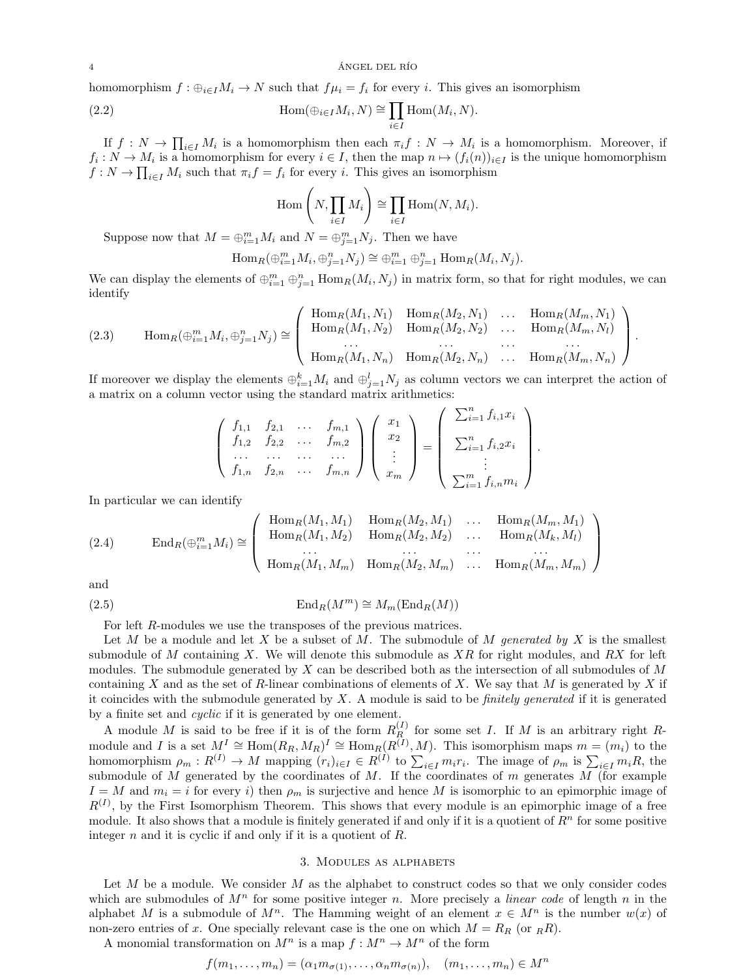homomorphism  $f: \bigoplus_{i\in I} M_i \to N$  such that  $f\mu_i = f_i$  for every i. This gives an isomorphism

(2.2) 
$$
\operatorname{Hom}(\oplus_{i \in I} M_i, N) \cong \prod_{i \in I} \operatorname{Hom}(M_i, N).
$$

If  $f: N \to \prod_{i \in I} M_i$  is a homomorphism then each  $\pi_i f: N \to M_i$  is a homomorphism. Moreover, if  $f_i: N \to M_i$  is a homomorphism for every  $i \in I$ , then the map  $n \mapsto (f_i(n))_{i \in I}$  is the unique homomorphism  $f: N \to \prod_{i \in I} M_i$  such that  $\pi_i f = f_i$  for every i. This gives an isomorphism

<span id="page-3-3"></span>
$$
\operatorname{Hom}\left(N, \prod_{i \in I} M_i\right) \cong \prod_{i \in I} \operatorname{Hom}(N, M_i).
$$

Suppose now that  $M = \bigoplus_{i=1}^{m} M_i$  and  $N = \bigoplus_{j=1}^{m} N_j$ . Then we have

$$
\operatorname{Hom}_R(\oplus_{i=1}^m M_i, \oplus_{j=1}^n N_j) \cong \oplus_{i=1}^m \oplus_{j=1}^n \operatorname{Hom}_R(M_i, N_j).
$$

We can display the elements of  $\oplus_{i=1}^m \oplus_{j=1}^n \text{Hom}_R(M_i, N_j)$  in matrix form, so that for right modules, we can identify

<span id="page-3-2"></span>(2.3) 
$$
\text{Hom}_{R}(\bigoplus_{i=1}^{m} M_{i}, \bigoplus_{j=1}^{n} N_{j}) \cong \begin{pmatrix} \text{Hom}_{R}(M_{1}, N_{1}) & \text{Hom}_{R}(M_{2}, N_{1}) & \dots & \text{Hom}_{R}(M_{m}, N_{1}) \\ \text{Hom}_{R}(M_{1}, N_{2}) & \text{Hom}_{R}(M_{2}, N_{2}) & \dots & \text{Hom}_{R}(M_{m}, N_{l}) \\ \dots & \dots & \dots & \dots \\ \text{Hom}_{R}(M_{1}, N_{n}) & \text{Hom}_{R}(M_{2}, N_{n}) & \dots & \text{Hom}_{R}(M_{m}, N_{n}) \end{pmatrix}.
$$

If moreover we display the elements  $\bigoplus_{i=1}^k M_i$  and  $\bigoplus_{j=1}^l N_j$  as column vectors we can interpret the action of a matrix on a column vector using the standard matrix arithmetics:

$$
\begin{pmatrix}\nf_{1,1} & f_{2,1} & \dots & f_{m,1} \\
f_{1,2} & f_{2,2} & \dots & f_{m,2} \\
\vdots & \vdots & \ddots & \vdots \\
f_{1,n} & f_{2,n} & \dots & f_{m,n}\n\end{pmatrix}\n\begin{pmatrix}\nx_1 \\
x_2 \\
\vdots \\
x_m\n\end{pmatrix}\n=\n\begin{pmatrix}\n\sum_{i=1}^{n} f_{i,1}x_i \\
\sum_{i=1}^{n} f_{i,2}x_i \\
\vdots \\
\sum_{i=1}^{m} f_{i,n}m_i\n\end{pmatrix}
$$

.

In particular we can identify

<span id="page-3-1"></span>(2.4) 
$$
\operatorname{End}_R(\bigoplus_{i=1}^m M_i) \cong \left( \begin{array}{cccc} \operatorname{Hom}_R(M_1, M_1) & \operatorname{Hom}_R(M_2, M_1) & \dots & \operatorname{Hom}_R(M_m, M_1) \\ \operatorname{Hom}_R(M_1, M_2) & \operatorname{Hom}_R(M_2, M_2) & \dots & \operatorname{Hom}_R(M_k, M_l) \\ \dots & \dots & \dots & \dots \\ \operatorname{Hom}_R(M_1, M_m) & \operatorname{Hom}_R(M_2, M_m) & \dots & \operatorname{Hom}_R(M_m, M_m) \end{array} \right)
$$

and

(2.5) 
$$
\operatorname{End}_R(M^m) \cong M_m(\operatorname{End}_R(M))
$$

<span id="page-3-0"></span>For left R-modules we use the transposes of the previous matrices.

Let M be a module and let X be a subset of M. The submodule of M generated by X is the smallest submodule of M containing X. We will denote this submodule as  $XR$  for right modules, and RX for left modules. The submodule generated by  $X$  can be described both as the intersection of all submodules of  $M$ containing X and as the set of R-linear combinations of elements of X. We say that M is generated by X if it coincides with the submodule generated by  $X$ . A module is said to be *finitely generated* if it is generated by a finite set and cyclic if it is generated by one element.

A module M is said to be free if it is of the form  $R_R^{(I)}$  for some set I. If M is an arbitrary right Rmodule and I is a set  $M^I \cong \text{Hom}(R_R, M_R)^I \cong \text{Hom}_R(R^{(I)}, M)$ . This isomorphism maps  $m = (m_i)$  to the homomorphism  $\rho_m: R^{(I)} \to M$  mapping  $(r_i)_{i \in I} \in R^{(I)}$  to  $\sum_{i \in I} m_i r_i$ . The image of  $\rho_m$  is  $\sum_{i \in I} m_i R$ , the submodule of M generated by the coordinates of M. If the coordinates of  $m$  generates  $M$  (for example  $I = M$  and  $m_i = i$  for every i) then  $\rho_m$  is surjective and hence M is isomorphic to an epimorphic image of  $R^{(I)}$ , by the First Isomorphism Theorem. This shows that every module is an epimorphic image of a free module. It also shows that a module is finitely generated if and only if it is a quotient of  $\mathbb{R}^n$  for some positive integer  $n$  and it is cyclic if and only if it is a quotient of  $R$ .

#### 3. Modules as alphabets

Let  $M$  be a module. We consider  $M$  as the alphabet to construct codes so that we only consider codes which are submodules of  $M<sup>n</sup>$  for some positive integer n. More precisely a *linear code* of length n in the alphabet M is a submodule of  $M^n$ . The Hamming weight of an element  $x \in M^n$  is the number  $w(x)$  of non-zero entries of x. One specially relevant case is the one on which  $M = R_R$  (or  $_RR$ ).

A monomial transformation on  $M^n$  is a map  $f : M^n \to M^n$  of the form

$$
f(m_1, \ldots, m_n) = (\alpha_1 m_{\sigma(1)}, \ldots, \alpha_n m_{\sigma(n)}), \quad (m_1, \ldots, m_n) \in M^n
$$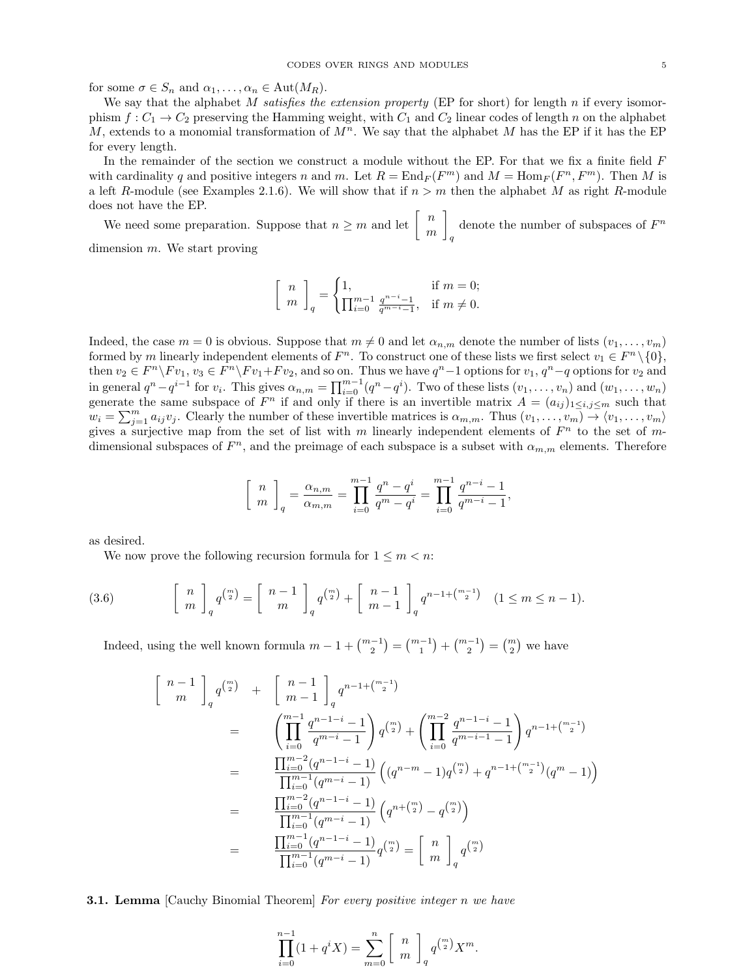for some  $\sigma \in S_n$  and  $\alpha_1, \ldots, \alpha_n \in \text{Aut}(M_R)$ .

We say that the alphabet M satisfies the extension property (EP for short) for length n if every isomorphism  $f: C_1 \to C_2$  preserving the Hamming weight, with  $C_1$  and  $C_2$  linear codes of length n on the alphabet M, extends to a monomial transformation of  $M<sup>n</sup>$ . We say that the alphabet M has the EP if it has the EP for every length.

In the remainder of the section we construct a module without the EP. For that we fix a finite field F with cardinality q and positive integers n and m. Let  $R = \text{End}_F(F^m)$  and  $M = \text{Hom}_F(F^n, F^m)$ . Then M is a left R-module (see Examples [2.1](#page-1-0)[.6\)](#page-2-0). We will show that if  $n > m$  then the alphabet M as right R-module does not have the EP.

We need some preparation. Suppose that  $n \geq m$  and let  $\begin{bmatrix} n \\ m \end{bmatrix}$ m 1 q denote the number of subspaces of  $F^n$ dimension m. We start proving

$$
\begin{bmatrix} n \\ m \end{bmatrix}_q = \begin{cases} 1, & \text{if } m = 0; \\ \prod_{i=0}^{m-1} \frac{q^{n-i}-1}{q^{m-i}-1}, & \text{if } m \neq 0. \end{cases}
$$

Indeed, the case  $m = 0$  is obvious. Suppose that  $m \neq 0$  and let  $\alpha_{n,m}$  denote the number of lists  $(v_1, \ldots, v_m)$ formed by m linearly independent elements of  $F^n$ . To construct one of these lists we first select  $v_1 \in F^n \setminus \{0\}$ , then  $v_2 \in F^n \backslash F v_1, v_3 \in F^n \backslash F v_1 + F v_2$ , and so on. Thus we have  $q^n - 1$  options for  $v_1, q^n - q$  options for  $v_2$  and in general  $q^n - q^{i-1}$  for  $v_i$ . This gives  $\alpha_{n,m} = \prod_{i=0}^{m-1} (q^n - q^i)$ . Two of these lists  $(v_1, \ldots, v_n)$  and  $(w_1, \ldots, w_n)$ generate the same subspace of  $F^n$  if and only if there is an invertible matrix  $A = (a_{ij})_{1 \le i,j \le m}$  such that  $w_i = \sum_{j=1}^m a_{ij}v_j$ . Clearly the number of these invertible matrices is  $\alpha_{m,m}$ . Thus  $(v_1, \ldots, v_m) \rightarrow (v_1, \ldots, v_m)$ gives a surjective map from the set of list with m linearly independent elements of  $F<sup>n</sup>$  to the set of mdimensional subspaces of  $F<sup>n</sup>$ , and the preimage of each subspace is a subset with  $\alpha_{m,m}$  elements. Therefore

$$
\left[\begin{array}{c} n \\ m \end{array}\right]_q = \frac{\alpha_{n,m}}{\alpha_{m,m}} = \prod_{i=0}^{m-1} \frac{q^n - q^i}{q^m - q^i} = \prod_{i=0}^{m-1} \frac{q^{n-i} - 1}{q^{m-i} - 1},
$$

as desired.

<span id="page-4-0"></span>We now prove the following recursion formula for  $1 \leq m < n$ :

(3.6) 
$$
\begin{bmatrix} n \\ m \end{bmatrix}_q q^{\binom{m}{2}} = \begin{bmatrix} n-1 \\ m \end{bmatrix}_q q^{\binom{m}{2}} + \begin{bmatrix} n-1 \\ m-1 \end{bmatrix}_q q^{n-1 + \binom{m-1}{2}} \quad (1 \leq m \leq n-1).
$$

Indeed, using the well known formula  $m-1+\binom{m-1}{2}=\binom{m-1}{1}+\binom{m-1}{2}=\binom{m}{2}$  we have

$$
\begin{aligned}\n\left[\begin{array}{c} n-1 \\ m \end{array}\right]_q q^{m} + \left[\begin{array}{c} n-1 \\ m-1 \end{array}\right]_q q^{n-1 + {m-1 \choose 2}} \\
&= \left(\prod_{i=0}^{m-1} \frac{q^{n-1-i} - 1}{q^{m-i} - 1}\right) q^{m \choose 2} + \left(\prod_{i=0}^{m-2} \frac{q^{n-1-i} - 1}{q^{m-i-1} - 1}\right) q^{n-1 + {m-1 \choose 2}} \\
&= \frac{\prod_{i=0}^{m-2} (q^{n-1-i} - 1)}{\prod_{i=0}^{m-1} (q^{m-i} - 1)} \left( (q^{n-m} - 1) q^{m \choose 2} + q^{n-1 + {m-1 \choose 2}} (q^m - 1) \right) \\
&= \frac{\prod_{i=0}^{m-2} (q^{n-1-i} - 1)}{\prod_{i=0}^{m-1} (q^{m-i} - 1)} \left( q^{n + {m \choose 2}} - q^{m \choose 2} \right) \\
&= \frac{\prod_{i=0}^{m-1} (q^{n-i} - 1)}{\prod_{i=0}^{m-1} (q^{m-i} - 1)} q^{m \choose 2} = \left[\begin{array}{c} n \\ m \end{array}\right]_q q^{m \choose 2}\n\end{aligned}
$$

<span id="page-4-1"></span>**3.1. Lemma** [Cauchy Binomial Theorem] For every positive integer n we have

$$
\prod_{i=0}^{n-1} (1 + q^i X) = \sum_{m=0}^{n} \left[ \begin{array}{c} n \\ m \end{array} \right]_q q^{\binom{m}{2}} X^m.
$$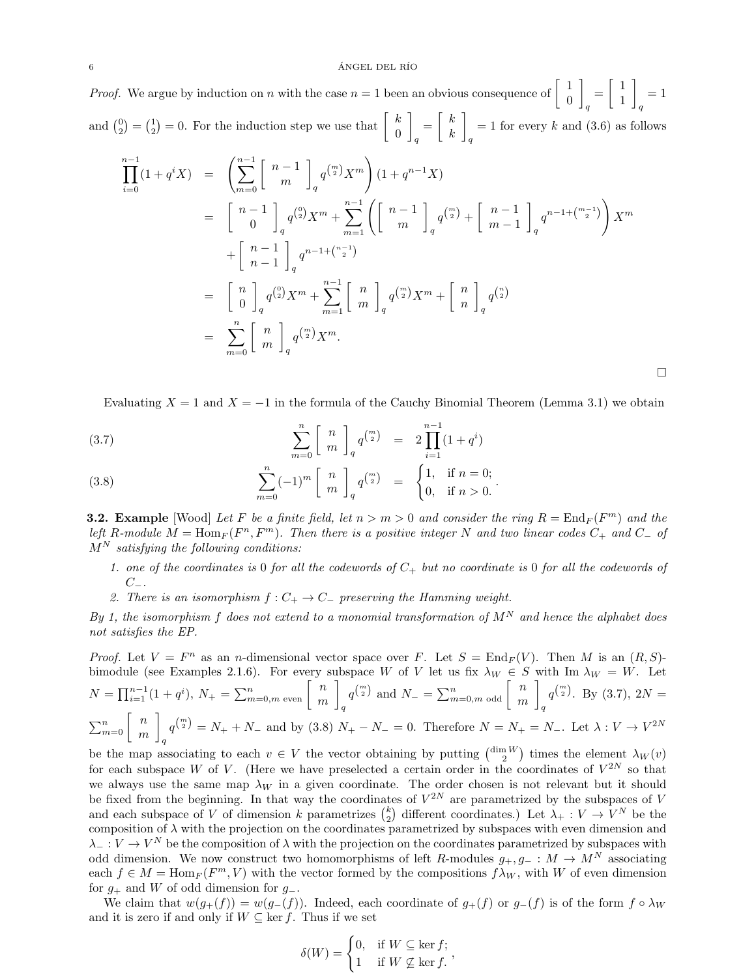*Proof.* We argue by induction on n with the case  $n = 1$  been an obvious consequence of  $\begin{bmatrix} 1 & 0 \\ 0 & 1 \end{bmatrix}$ 0 1 q  $=\begin{bmatrix} 1 \\ 1 \end{bmatrix}$ 1 1 q  $= 1$ and  $\binom{0}{2} = \binom{1}{2} = 0$ . For the induction step we use that  $\begin{bmatrix} k \\ 0 \end{bmatrix}$ 0 1 q  $=\begin{bmatrix} k \\ k \end{bmatrix}$ k 1 q  $= 1$  for every k and  $(3.6)$  as follows

$$
\prod_{i=0}^{n-1} (1 + q^i X) = \left( \sum_{m=0}^{n-1} \begin{bmatrix} n-1 \\ m \end{bmatrix}_q q^{m \choose 2} X^m \right) (1 + q^{n-1} X)
$$
\n
$$
= \begin{bmatrix} n-1 \\ 0 \end{bmatrix}_q q^{0 \choose 2} X^m + \sum_{m=1}^{n-1} \left( \begin{bmatrix} n-1 \\ m \end{bmatrix}_q q^{m \choose 2} + \begin{bmatrix} n-1 \\ m-1 \end{bmatrix}_q q^{n-1 + {m-1 \choose 2}} \right) X^m
$$
\n
$$
+ \begin{bmatrix} n-1 \\ n-1 \end{bmatrix}_q q^{n-1 + {n-1 \choose 2}}
$$
\n
$$
= \begin{bmatrix} n \\ 0 \end{bmatrix}_q q^{0 \choose 2} X^m + \sum_{m=1}^{n-1} \begin{bmatrix} n \\ m \end{bmatrix}_q q^{m \choose 2} X^m + \begin{bmatrix} n \\ n \end{bmatrix}_q q^{0 \choose 2}
$$
\n
$$
= \sum_{m=0}^{n} \begin{bmatrix} n \\ m \end{bmatrix}_q q^{m \choose 2} X^m.
$$

<span id="page-5-0"></span>Evaluating  $X = 1$  and  $X = -1$  in the formula of the Cauchy Binomial Theorem (Lemma [3.1\)](#page-4-1) we obtain

 $\Box$ 

(3.7) 
$$
\sum_{m=0}^{n} \begin{bmatrix} n \\ m \end{bmatrix} q^{m \choose 2} = 2 \prod_{i=1}^{n-1} (1 + q^{i})
$$

(3.8) 
$$
\sum_{m=0}^{n} (-1)^{m} \begin{bmatrix} n \\ m \end{bmatrix}_{q} q^{m \choose 2} = \begin{cases} 1, & \text{if } n = 0; \\ 0, & \text{if } n > 0. \end{cases}
$$

<span id="page-5-1"></span>**3.2. Example** [Wood] Let F be a finite field, let  $n > m > 0$  and consider the ring  $R = \text{End}_F(F^m)$  and the left R-module  $M = \text{Hom}_F(F^n, F^m)$ . Then there is a positive integer N and two linear codes  $C_+$  and  $C_-$  of  $M^N$  satisfying the following conditions:

- 1. one of the coordinates is 0 for all the codewords of  $C_+$  but no coordinate is 0 for all the codewords of  $C_-\,$
- 2. There is an isomorphism  $f: C_+ \to C_-$  preserving the Hamming weight.

By 1, the isomorphism f does not extend to a monomial transformation of  $M^N$  and hence the alphabet does not satisfies the EP.

*Proof.* Let  $V = F^n$  as an *n*-dimensional vector space over F. Let  $S = \text{End}_F(V)$ . Then M is an  $(R, S)$ -bimodule (see Examples [2.1.](#page-1-0)[6\)](#page-2-0). For every subspace W of V let us fix  $\lambda_W \in S$  with Im  $\lambda_W = W$ . Let  $N = \prod_{i=1}^{n-1} (1+q^i), N_+ = \sum_{m=0,m}^{n} \text{ even} \begin{bmatrix} n \\ m \end{bmatrix}$ m 1 q  $q^{\binom{m}{2}}$  and  $N_- = \sum_{m=0,m}^n$  odd  $\begin{bmatrix} n \\ m \end{bmatrix}$ m 1 q  $q^{\binom{m}{2}}$ . By [\(3.7\)](#page-5-0), 2N =  $\sum_{m=0}^{n} \left\lceil \frac{m}{m} \right\rceil$ m 1 q  $q^{(\frac{m}{2})} = N_+ + N_-$  and by [\(3.8\)](#page-5-0)  $N_+ - N_- = 0$ . Therefore  $N = N_+ = N_-$ . Let  $\lambda: V \to V^{2N}$ 

be the map associating to each  $v \in V$  the vector obtaining by putting  $\binom{\dim W}{2}$  times the element  $\lambda_W(v)$ for each subspace W of V. (Here we have preselected a certain order in the coordinates of  $V^{2N}$  so that we always use the same map  $\lambda_W$  in a given coordinate. The order chosen is not relevant but it should be fixed from the beginning. In that way the coordinates of  $V^{2N}$  are parametrized by the subspaces of V and each subspace of V of dimension k parametrizes  $\binom{k}{2}$  different coordinates.) Let  $\lambda_+ : V \to V^N$  be the composition of  $\lambda$  with the projection on the coordinates parametrized by subspaces with even dimension and  $\lambda_-: V \to V^N$  be the composition of  $\lambda$  with the projection on the coordinates parametrized by subspaces with odd dimension. We now construct two homomorphisms of left R-modules  $g_+, g_- : M \to M^N$  associating each  $f \in M = \text{Hom}_F(F^m, V)$  with the vector formed by the compositions  $f \lambda_W$ , with W of even dimension for  $g_+$  and W of odd dimension for  $g_-$ .

We claim that  $w(g_{+}(f)) = w(g_{-}(f))$ . Indeed, each coordinate of  $g_{+}(f)$  or  $g_{-}(f)$  is of the form  $f \circ \lambda_W$ and it is zero if and only if  $W \subseteq \text{ker } f$ . Thus if we set

$$
\delta(W) = \begin{cases} 0, & \text{if } W \subseteq \ker f; \\ 1 & \text{if } W \nsubseteq \ker f. \end{cases}
$$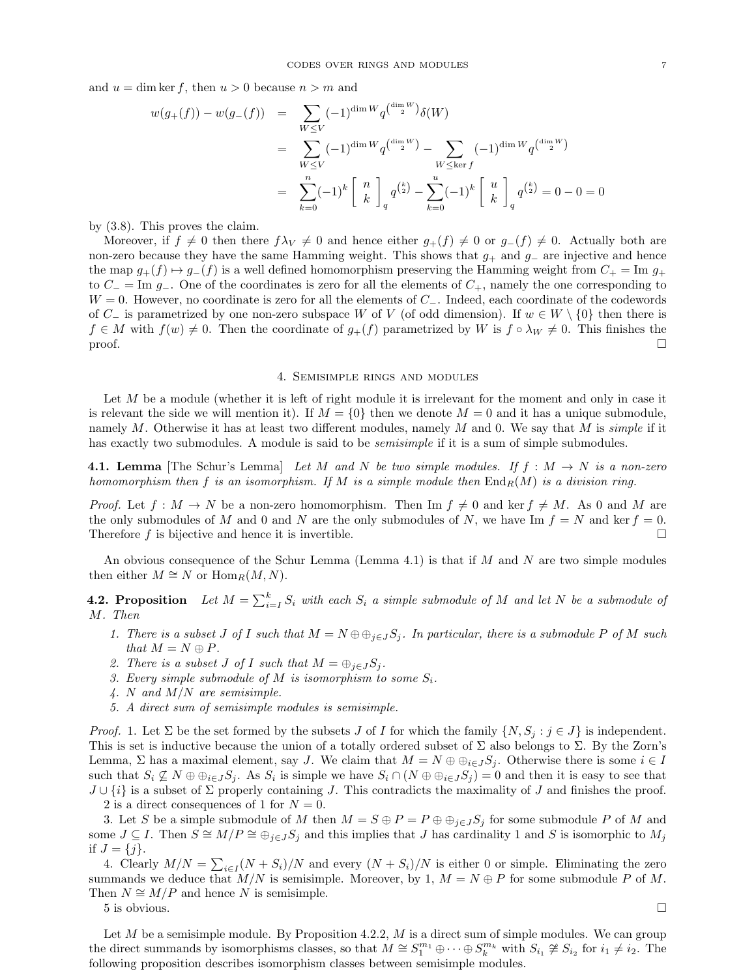and  $u = \dim \ker f$ , then  $u > 0$  because  $n > m$  and

$$
w(g_{+}(f)) - w(g_{-}(f)) = \sum_{W \le V} (-1)^{\dim W} q^{\binom{\dim W}{2}} \delta(W)
$$
  
= 
$$
\sum_{W \le V} (-1)^{\dim W} q^{\binom{\dim W}{2}} - \sum_{W \le \ker f} (-1)^{\dim W} q^{\binom{\dim W}{2}}
$$
  
= 
$$
\sum_{k=0}^{n} (-1)^{k} \begin{bmatrix} n \\ k \end{bmatrix}_{q} q^{\binom{k}{2}} - \sum_{k=0}^{u} (-1)^{k} \begin{bmatrix} u \\ k \end{bmatrix}_{q} q^{\binom{k}{2}} = 0 - 0 = 0
$$

by [\(3.8\)](#page-5-0). This proves the claim.

Moreover, if  $f \neq 0$  then there  $f\lambda_V \neq 0$  and hence either  $g_+(f) \neq 0$  or  $g_-(f) \neq 0$ . Actually both are non-zero because they have the same Hamming weight. This shows that  $g_+$  and  $g_-$  are injective and hence the map  $g_{+}(f) \mapsto g_{-}(f)$  is a well defined homomorphism preserving the Hamming weight from  $C_{+} = \text{Im } g_{+}$ to  $C_$  = Im  $g_$ . One of the coordinates is zero for all the elements of  $C_+$ , namely the one corresponding to  $W = 0$ . However, no coordinate is zero for all the elements of  $C_-\$ . Indeed, each coordinate of the codewords of C<sub>−</sub> is parametrized by one non-zero subspace W of V (of odd dimension). If  $w \in W \setminus \{0\}$  then there is  $f \in M$  with  $f(w) \neq 0$ . Then the coordinate of  $g_{+}(f)$  parametrized by W is  $f \circ \lambda_W \neq 0$ . This finishes the  $\Box$ 

#### 4. Semisimple rings and modules

Let M be a module (whether it is left of right module it is irrelevant for the moment and only in case it is relevant the side we will mention it). If  $M = \{0\}$  then we denote  $M = 0$  and it has a unique submodule, namely  $M$ . Otherwise it has at least two different modules, namely  $M$  and 0. We say that  $M$  is simple if it has exactly two submodules. A module is said to be *semisimple* if it is a sum of simple submodules.

<span id="page-6-0"></span>**4.1. Lemma** [The Schur's Lemma] Let M and N be two simple modules. If  $f : M \to N$  is a non-zero homomorphism then f is an isomorphism. If M is a simple module then  $\text{End}_R(M)$  is a division ring.

*Proof.* Let  $f : M \to N$  be a non-zero homomorphism. Then Im  $f \neq 0$  and ker  $f \neq M$ . As 0 and M are the only submodules of M and 0 and N are the only submodules of N, we have Im  $f = N$  and ker  $f = 0$ . Therefore f is bijective and hence it is invertible.

An obvious consequence of the Schur Lemma (Lemma [4.1\)](#page-6-0) is that if M and N are two simple modules then either  $M \cong N$  or  $\text{Hom}_R(M, N)$ .

<span id="page-6-6"></span>**4.2. Proposition** Let  $M = \sum_{i=1}^{k} S_i$  with each  $S_i$  a simple submodule of M and let N be a submodule of M. Then

- <span id="page-6-1"></span>1. There is a subset J of I such that  $M = N \oplus \bigoplus_{i \in J} S_i$ . In particular, there is a submodule P of M such that  $M = N \oplus P$ .
- <span id="page-6-2"></span>2. There is a subset J of I such that  $M = \bigoplus_{j \in J} S_j$ .
- <span id="page-6-3"></span>3. Every simple submodule of M is isomorphism to some  $S_i$ .
- <span id="page-6-4"></span> $\mathcal{A}.$  N and  $M/N$  are semisimple.
- <span id="page-6-5"></span>5. A direct sum of semisimple modules is semisimple.

*Proof.* [1.](#page-6-1) Let  $\Sigma$  be the set formed by the subsets J of I for which the family  $\{N, S_j : j \in J\}$  is independent. This is set is inductive because the union of a totally ordered subset of  $\Sigma$  also belongs to  $\Sigma$ . By the Zorn's Lemma,  $\Sigma$  has a maximal element, say J. We claim that  $M = N \oplus \bigoplus_{i \in J} S_i$ . Otherwise there is some  $i \in I$ such that  $S_i \nsubseteq N \oplus \bigoplus_{i \in J} S_j$ . As  $S_i$  is simple we have  $S_i \cap (N \oplus \bigoplus_{i \in J} S_j) = 0$  and then it is easy to see that  $J \cup \{i\}$  is a subset of  $\Sigma$  properly containing J. This contradicts the maximality of J and finishes the proof.

[2](#page-6-2) is a direct consequences of [1](#page-6-1) for  $N = 0$ .

[3.](#page-6-3) Let S be a simple submodule of M then  $M = S \oplus P = P \oplus \oplus_{j \in J} S_j$  for some submodule P of M and some  $J \subseteq I$ . Then  $S \cong M/P \cong \bigoplus_{j \in J} S_j$  and this implies that J has cardinality 1 and S is isomorphic to  $M_j$ if  $J = \{j\}.$ 

[4.](#page-6-4) Clearly  $M/N = \sum_{i \in I} (N + S_i)/N$  and every  $(N + S_i)/N$  is either 0 or simple. Eliminating the zero summands we deduce that  $M/N$  is semisimple. Moreover, by [1,](#page-6-1)  $M = N \oplus P$  for some submodule P of M. Then  $N \cong M/P$  and hence N is semisimple.

 $5$  is obvious.

Let  $M$  be a semisimple module. By Proposition [4.2.](#page-6-6)[2,](#page-6-2)  $M$  is a direct sum of simple modules. We can group the direct summands by isomorphisms classes, so that  $M \cong S_1^{m_1} \oplus \cdots \oplus S_k^{m_k}$  with  $S_{i_1} \not\cong S_{i_2}$  for  $i_1 \neq i_2$ . The following proposition describes isomorphism classes between semisimple modules.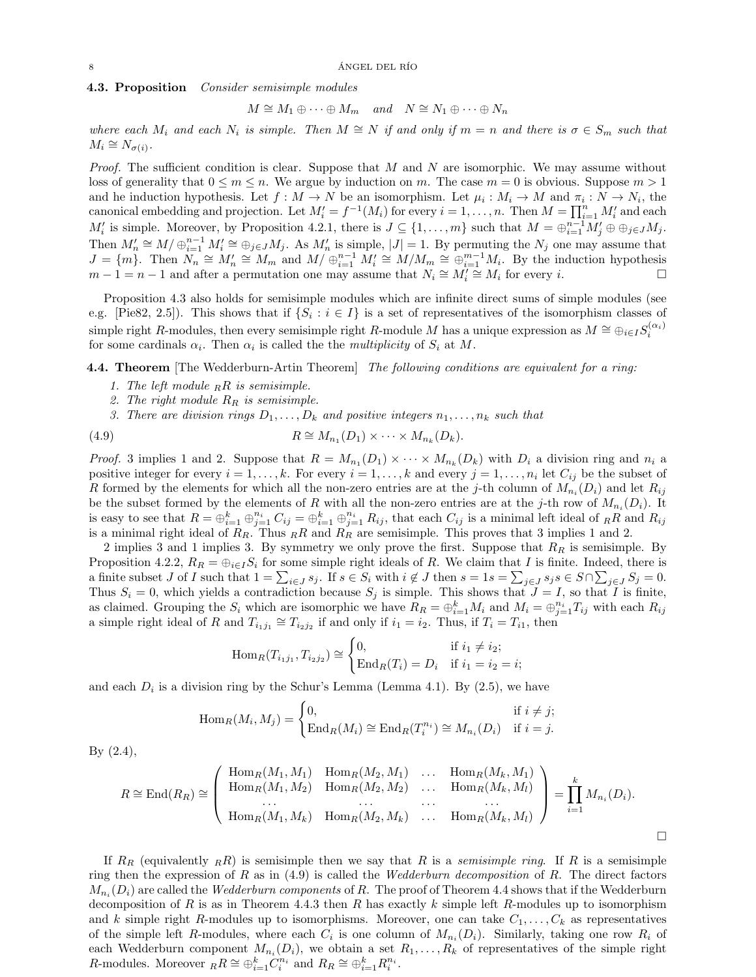# <span id="page-7-0"></span>4.3. Proposition Consider semisimple modules

 $M \cong M_1 \oplus \cdots \oplus M_m$  and  $N \cong N_1 \oplus \cdots \oplus N_n$ 

where each  $M_i$  and each  $N_i$  is simple. Then  $M \cong N$  if and only if  $m = n$  and there is  $\sigma \in S_m$  such that  $M_i \cong N_{\sigma(i)}$ .

*Proof.* The sufficient condition is clear. Suppose that  $M$  and  $N$  are isomorphic. We may assume without loss of generality that  $0 \le m \le n$ . We argue by induction on m. The case  $m = 0$  is obvious. Suppose  $m > 1$ and he induction hypothesis. Let  $f: M \to N$  be an isomorphism. Let  $\mu_i: M_i \to M$  and  $\pi_i: N \to N_i$ , the canonical embedding and projection. Let  $M'_i = f^{-1}(M_i)$  for every  $i = 1, \ldots, n$ . Then  $M = \prod_{i=1}^n M'_i$  and each  $M'_i$  is simple. Moreover, by Proposition [4.2.](#page-6-6)[1,](#page-6-1) there is  $J \subseteq \{1, \ldots, m\}$  such that  $M = \bigoplus_{i=1}^{n-1} M'_j \oplus \bigoplus_{j \in J} M_j$ . Then  $M'_n \cong M/\bigoplus_{i=1}^{n-1} M'_i \cong \bigoplus_{j\in J} M_j$ . As  $M'_n$  is simple,  $|J|=1$ . By permuting the  $N_j$  one may assume that  $J = \{m\}$ . Then  $N_n \cong M'_n \cong M_m$  and  $M/\bigoplus_{i=1}^{n-1} M'_i \cong M/M_m \cong \bigoplus_{i=1}^{m-1} M_i$ . By the induction hypothesis  $m-1=n-1$  and after a permutation one may assume that  $N_i \cong M'_i \cong M_i$  for every i.

Proposition [4.3](#page-7-0) also holds for semisimple modules which are infinite direct sums of simple modules (see e.g. [\[Pie82,](#page-23-4) 2.5]). This shows that if  $\{S_i : i \in I\}$  is a set of representatives of the isomorphism classes of simple right R-modules, then every semisimple right R-module M has a unique expression as  $M \cong \bigoplus_{i \in I} S_i^{(\alpha_i)}$ for some cardinals  $\alpha_i$ . Then  $\alpha_i$  is called the the *multiplicity* of  $S_i$  at M.

<span id="page-7-5"></span><span id="page-7-2"></span>4.4. Theorem [The Wedderburn-Artin Theorem] The following conditions are equivalent for a ring:

- 1. The left module  $_R R$  is semisimple.
- <span id="page-7-3"></span>2. The right module  $R_R$  is semisimple.
- <span id="page-7-4"></span><span id="page-7-1"></span>3. There are division rings  $D_1, \ldots, D_k$  and positive integers  $n_1, \ldots, n_k$  such that

(4.9) 
$$
R \cong M_{n_1}(D_1) \times \cdots \times M_{n_k}(D_k).
$$

*Proof.* 3 implies 1 and 2. Suppose that  $R = M_{n_1}(D_1) \times \cdots \times M_{n_k}(D_k)$  with  $D_i$  a division ring and  $n_i$  a positive integer for every  $i = 1, ..., k$ . For every  $i = 1, ..., k$  and every  $j = 1, ..., n_i$  let  $C_{ij}$  be the subset of R formed by the elements for which all the non-zero entries are at the j-th column of  $M_{n_i}(D_i)$  and let  $R_{ij}$ be the subset formed by the elements of R with all the non-zero entries are at the j-th row of  $M_{n_i}(D_i)$ . It is easy to see that  $R = \bigoplus_{i=1}^k \bigoplus_{j=1}^{n_i} C_{ij} = \bigoplus_{i=1}^k \bigoplus_{j=1}^{n_i} R_{ij}$ , that each  $C_{ij}$  is a minimal left ideal of  $_R \overline{R}$  and  $R_{ij}$ is a minimal right ideal of  $R_R$ . Thus  $_R R$  and  $R_R$  are semisimple. This proves that [3](#page-7-1) implies [1](#page-7-2) and [2.](#page-7-3)

[2](#page-7-3) implies [3](#page-7-1) and [1](#page-7-2) implies [3.](#page-7-1) By symmetry we only prove the first. Suppose that  $R_R$  is semisimple. By Proposition [4.2](#page-6-6)[.2,](#page-6-2)  $R_R = \bigoplus_{i \in I} S_i$  for some simple right ideals of R. We claim that I is finite. Indeed, there is a finite subset J of I such that  $1 = \sum_{i \in J} s_i$ . If  $s \in S_i$  with  $i \notin J$  then  $s = 1s = \sum_{j \in J} s_j s \in S \cap \sum_{j \in J} S_j = 0$ . Thus  $S_i = 0$ , which yields a contradiction because  $S_j$  is simple. This shows that  $J = I$ , so that I is finite, as claimed. Grouping the  $S_i$  which are isomorphic we have  $R_R = \bigoplus_{i=1}^k M_i$  and  $M_i = \bigoplus_{j=1}^{n_i} T_{ij}$  with each  $R_{ij}$ a simple right ideal of R and  $T_{i_1j_1} \cong T_{i_2j_2}$  if and only if  $i_1 = i_2$ . Thus, if  $T_i = T_{i_1}$ , then

$$
\text{Hom}_{R}(T_{i_{1}j_{1}}, T_{i_{2}j_{2}}) \cong \begin{cases} 0, & \text{if } i_{1} \neq i_{2}; \\ \text{End}_{R}(T_{i}) = D_{i} & \text{if } i_{1} = i_{2} = i; \end{cases}
$$

and each  $D_i$  is a division ring by the Schur's Lemma (Lemma [4.1\)](#page-6-0). By [\(2.5\)](#page-3-0), we have

$$
\operatorname{Hom}_R(M_i, M_j) = \begin{cases} 0, & \text{if } i \neq j; \\ \operatorname{End}_R(M_i) \cong \operatorname{End}_R(T_i^{n_i}) \cong M_{n_i}(D_i) & \text{if } i = j. \end{cases}
$$

By [\(2.4\)](#page-3-1),

$$
R \cong \text{End}(R_R) \cong \left( \begin{array}{cccc} \text{Hom}_R(M_1, M_1) & \text{Hom}_R(M_2, M_1) & \dots & \text{Hom}_R(M_k, M_1) \\ \text{Hom}_R(M_1, M_2) & \text{Hom}_R(M_2, M_2) & \dots & \text{Hom}_R(M_k, M_l) \\ \dots & \dots & \dots & \dots \\ \text{Hom}_R(M_1, M_k) & \text{Hom}_R(M_2, M_k) & \dots & \text{Hom}_R(M_k, M_l) \end{array} \right) = \prod_{i=1}^k M_{n_i}(D_i).
$$

If  $R_R$  (equivalently  $_R$ R) is semisimple then we say that R is a semisimple ring. If R is a semisimple ring then the expression of R as in  $(4.9)$  is called the *Wedderburn decomposition* of R. The direct factors  $M_{n_i}(D_i)$  are called the *Wedderburn components* of R. The proof of Theorem [4.4](#page-7-5) shows that if the Wedderburn decomposition of R is as in Theorem [4.4.](#page-7-5)[3](#page-7-1) then R has exactly k simple left R-modules up to isomorphism and k simple right R-modules up to isomorphisms. Moreover, one can take  $C_1, \ldots, C_k$  as representatives of the simple left R-modules, where each  $C_i$  is one column of  $M_{n_i}(D_i)$ . Similarly, taking one row  $R_i$  of each Wedderburn component  $M_{n_i}(D_i)$ , we obtain a set  $R_1, \ldots, R_k$  of representatives of the simple right R-modules. Moreover  $_R R \cong \bigoplus_{i=1}^k C_i^{n_i}$  and  $R_R \cong \bigoplus_{i=1}^k R_i^{n_i}$ .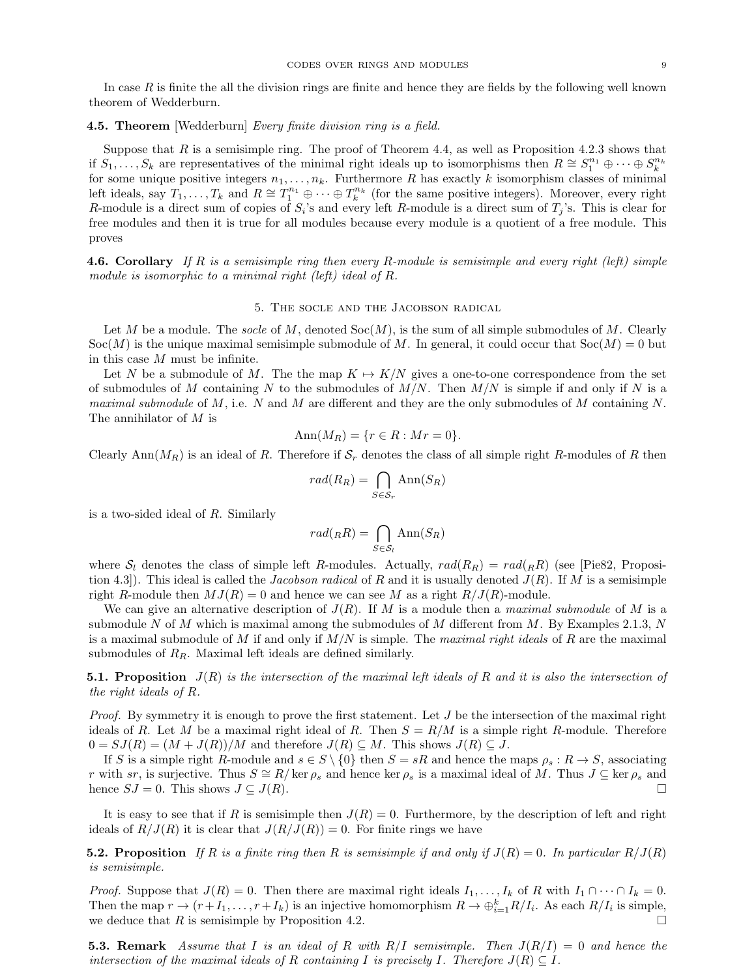In case  $R$  is finite the all the division rings are finite and hence they are fields by the following well known theorem of Wedderburn.

## <span id="page-8-1"></span>**4.5. Theorem** [Wedderburn] Every finite division ring is a field.

Suppose that  $R$  is a semisimple ring. The proof of Theorem [4.4,](#page-7-5) as well as Proposition [4.2.](#page-6-6)[3](#page-6-3) shows that if  $S_1, \ldots, S_k$  are representatives of the minimal right ideals up to isomorphisms then  $R \cong S_1^{n_1} \oplus \cdots \oplus S_k^{n_k}$ for some unique positive integers  $n_1, \ldots, n_k$ . Furthermore R has exactly k isomorphism classes of minimal left ideals, say  $T_1, \ldots, T_k$  and  $R \cong T_1^{n_1} \oplus \cdots \oplus T_k^{n_k}$  (for the same positive integers). Moreover, every right R-module is a direct sum of copies of  $S_i$ 's and every left R-module is a direct sum of  $T_j$ 's. This is clear for free modules and then it is true for all modules because every module is a quotient of a free module. This proves

**4.6. Corollary** If R is a semisimple ring then every R-module is semisimple and every right (left) simple module is isomorphic to a minimal right (left) ideal of R.

## 5. The socle and the Jacobson radical

Let M be a module. The socle of M, denoted  $Soc(M)$ , is the sum of all simple submodules of M. Clearly  $Soc(M)$  is the unique maximal semisimple submodule of M. In general, it could occur that  $Soc(M) = 0$  but in this case M must be infinite.

Let N be a submodule of M. The the map  $K \mapsto K/N$  gives a one-to-one correspondence from the set of submodules of M containing N to the submodules of  $M/N$ . Then  $M/N$  is simple if and only if N is a *maximal submodule* of M, i.e. N and M are different and they are the only submodules of M containing N. The annihilator of M is

$$
Ann(M_R) = \{r \in R : Mr = 0\}.
$$

Clearly Ann( $M_R$ ) is an ideal of R. Therefore if  $S_r$  denotes the class of all simple right R-modules of R then

$$
rad(R_R) = \bigcap_{S \in \mathcal{S}_r} \text{Ann}(S_R)
$$

is a two-sided ideal of R. Similarly

$$
rad({}_RR) = \bigcap_{S \in \mathcal{S}_l} \text{Ann}(S_R)
$$

where  $S_l$  denotes the class of simple left R-modules. Actually,  $rad(R_R) = rad_R(R)$  (see [\[Pie82,](#page-23-4) Proposition 4.3]). This ideal is called the *Jacobson radical* of R and it is usually denoted  $J(R)$ . If M is a semisimple right R-module then  $MJ(R) = 0$  and hence we can see M as a right  $R/J(R)$ -module.

We can give an alternative description of  $J(R)$ . If M is a module then a maximal submodule of M is a submodule N of M which is maximal among the submodules of M different from M. By Examples [2.1](#page-1-0)[.3,](#page-1-1) N is a maximal submodule of M if and only if  $M/N$  is simple. The maximal right ideals of R are the maximal submodules of  $R_R$ . Maximal left ideals are defined similarly.

**5.1. Proposition**  $J(R)$  is the intersection of the maximal left ideals of R and it is also the intersection of the right ideals of R.

*Proof.* By symmetry it is enough to prove the first statement. Let  $J$  be the intersection of the maximal right ideals of R. Let M be a maximal right ideal of R. Then  $S = R/M$  is a simple right R-module. Therefore  $0 = SJ(R) = (M + J(R))/M$  and therefore  $J(R) \subseteq M$ . This shows  $J(R) \subseteq J$ .

If S is a simple right R-module and  $s \in S \setminus \{0\}$  then  $S = sR$  and hence the maps  $\rho_s : R \to S$ , associating r with sr, is surjective. Thus  $S \cong R/\ker \rho_s$  and hence  $\ker \rho_s$  is a maximal ideal of M. Thus  $J \subseteq \ker \rho_s$  and hence  $SJ = 0$ . This shows  $J \subseteq J(R)$ .

It is easy to see that if R is semisimple then  $J(R) = 0$ . Furthermore, by the description of left and right ideals of  $R/J(R)$  it is clear that  $J(R/J(R)) = 0$ . For finite rings we have

**5.2. Proposition** If R is a finite ring then R is semisimple if and only if  $J(R) = 0$ . In particular  $R/J(R)$ is semisimple.

*Proof.* Suppose that  $J(R) = 0$ . Then there are maximal right ideals  $I_1, \ldots, I_k$  of R with  $I_1 \cap \cdots \cap I_k = 0$ . Then the map  $r \to (r+I_1,\ldots,r+I_k)$  is an injective homomorphism  $R \to \bigoplus_{i=1}^k R/I_i$ . As each  $R/I_i$  is simple, we deduce that R is semisimple by Proposition [4.2.](#page-6-6)

<span id="page-8-0"></span>**5.3. Remark** Assume that I is an ideal of R with  $R/I$  semisimple. Then  $J(R/I) = 0$  and hence the intersection of the maximal ideals of R containing I is precisely I. Therefore  $J(R) \subseteq I$ .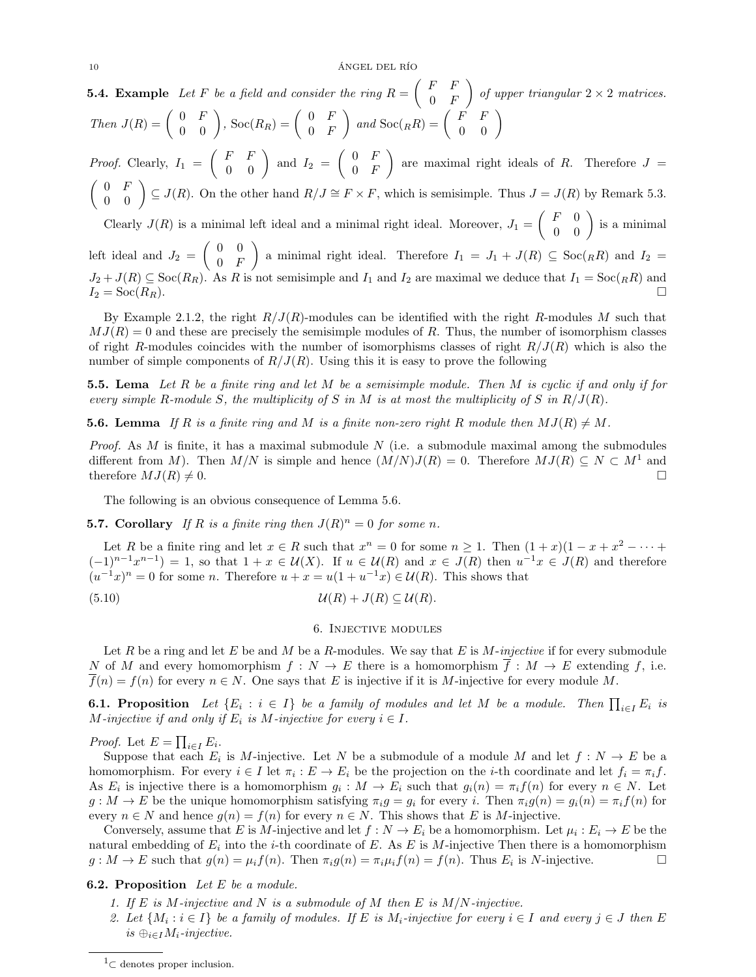**5.4. Example** Let F be a field and consider the ring  $R = \begin{pmatrix} F & F \\ 0 & F \end{pmatrix}$  $0$  F of upper triangular  $2 \times 2$  matrices.  $Then \ J(R) = \begin{pmatrix} 0 & F \\ 0 & 0 \end{pmatrix}, \text{Soc}(R_R) = \begin{pmatrix} 0 & F \\ 0 & F \end{pmatrix}$  $0$  F  $\bigg) \text{ and } \text{Soc}(R) = \left( \begin{array}{cc} F & F \\ 0 & 0 \end{array} \right)$ 

*Proof.* Clearly,  $I_1 = \begin{pmatrix} F & F \\ 0 & 0 \end{pmatrix}$  and  $I_2 = \begin{pmatrix} 0 & F \\ 0 & F \end{pmatrix}$  $0$  F are maximal right ideals of R. Therefore  $J =$  $\begin{pmatrix} 0 & F \\ 0 & 0 \end{pmatrix} \subseteq J(R)$ . On the other hand  $R/J \cong F \times F$ , which is semisimple. Thus  $J = J(R)$  by Remark [5.3.](#page-8-0) Clearly  $J(R)$  is a minimal left ideal and a minimal right ideal. Moreover,  $J_1 = \begin{pmatrix} F & 0 \\ 0 & 0 \end{pmatrix}$  is a minimal

left ideal and  $J_2 = \begin{pmatrix} 0 & 0 \\ 0 & F \end{pmatrix}$  $0$  F a minimal right ideal. Therefore  $I_1 = J_1 + J(R) \subseteq \text{Soc}(R_R)$  and  $I_2 =$  $J_2+J(R) \subseteq \text{Soc}(R_R)$ . As R is not semisimple and  $I_1$  and  $I_2$  are maximal we deduce that  $I_1 = \text{Soc}(R_R)$  and  $I_2 = \mathrm{Soc}(R_R).$ 

By Example [2.1.](#page-1-0)[2,](#page-1-2) the right  $R/J(R)$ -modules can be identified with the right R-modules M such that  $MJ(R) = 0$  and these are precisely the semisimple modules of R. Thus, the number of isomorphism classes of right R-modules coincides with the number of isomorphisms classes of right  $R/J(R)$  which is also the number of simple components of  $R/J(R)$ . Using this it is easy to prove the following

<span id="page-9-4"></span>**5.5. Lema** Let R be a finite ring and let M be a semisimple module. Then M is cyclic if and only if for every simple R-module S, the multiplicity of S in M is at most the multiplicity of S in  $R/J(R)$ .

<span id="page-9-1"></span>**5.6.** Lemma If R is a finite ring and M is a finite non-zero right R module then  $MJ(R) \neq M$ .

*Proof.* As M is finite, it has a maximal submodule N (i.e. a submodule maximal among the submodules different from M). Then  $M/N$  is simple and hence  $(M/N)J(R) = 0$ . Therefore  $MJ(R) \subseteq N \subset M<sup>1</sup>$  $MJ(R) \subseteq N \subset M<sup>1</sup>$  $MJ(R) \subseteq N \subset M<sup>1</sup>$  and therefore  $MJ(R) \neq 0.$ 

The following is an obvious consequence of Lemma [5.6.](#page-9-1)

**5.7. Corollary** If R is a finite ring then  $J(R)^n = 0$  for some n.

Let R be a finite ring and let  $x \in R$  such that  $x^n = 0$  for some  $n \ge 1$ . Then  $(1+x)(1-x+x^2-\cdots+x^n)$  $(-1)^{n-1}x^{n-1} = 1$ , so that  $1 + x \in U(X)$ . If  $u \in U(R)$  and  $x \in J(R)$  then  $u^{-1}x \in J(R)$  and therefore  $(u^{-1}x)^n = 0$  for some n. Therefore  $u + x = u(1 + u^{-1}x) \in \mathcal{U}(R)$ . This shows that

(5.10) U(R) + J(R) ⊆ U(R).

## <span id="page-9-3"></span>6. Injective modules

Let R be a ring and let E be and M be a R-modules. We say that E is  $M$ -injective if for every submodule N of M and every homomorphism  $f: N \to E$  there is a homomorphism  $\overline{f}: M \to E$  extending f, i.e.  $\overline{f}(n) = f(n)$  for every  $n \in N$ . One says that E is injective if it is M-injective for every module M.

**6.1. Proposition** Let  $\{E_i : i \in I\}$  be a family of modules and let M be a module. Then  $\prod_{i \in I} E_i$  is M-injective if and only if  $E_i$  is M-injective for every  $i \in I$ .

*Proof.* Let  $E = \prod_{i \in I} E_i$ .

Suppose that each  $E_i$  is M-injective. Let N be a submodule of a module M and let  $f: N \to E$  be a homomorphism. For every  $i \in I$  let  $\pi_i : E \to E_i$  be the projection on the *i*-th coordinate and let  $f_i = \pi_i f$ . As  $E_i$  is injective there is a homomorphism  $g_i: M \to E_i$  such that  $g_i(n) = \pi_i f(n)$  for every  $n \in N$ . Let  $g: M \to E$  be the unique homomorphism satisfying  $\pi_i g = g_i$  for every i. Then  $\pi_i g(n) = g_i(n) = \pi_i f(n)$  for every  $n \in N$  and hence  $g(n) = f(n)$  for every  $n \in N$ . This shows that E is M-injective.

Conversely, assume that E is M-injective and let  $f: N \to E_i$  be a homomorphism. Let  $\mu_i: E_i \to E$  be the natural embedding of  $E_i$  into the *i*-th coordinate of E. As E is M-injective Then there is a homomorphism  $g: M \to E$  such that  $g(n) = \mu_i f(n)$ . Then  $\pi_i g(n) = \pi_i \mu_i f(n) = f(n)$ . Thus  $E_i$  is N-injective.

## <span id="page-9-2"></span>**6.2. Proposition** Let  $E$  be a module.

- 1. If E is M-injective and N is a submodule of M then E is  $M/N$ -injective.
- 2. Let  $\{M_i : i \in I\}$  be a family of modules. If E is  $M_i$ -injective for every  $i \in I$  and every  $j \in J$  then E is  $\bigoplus_{i\in I}M_i$ -injective.

<span id="page-9-0"></span><sup>&</sup>lt;sup>1</sup>⊂ denotes proper inclusion.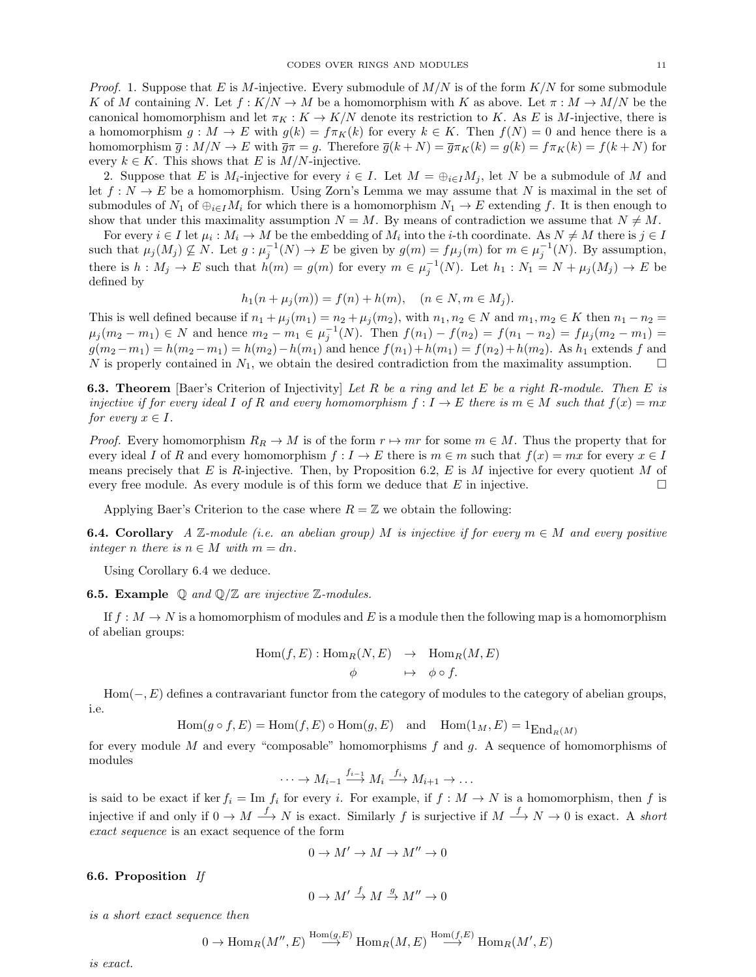*Proof.* 1. Suppose that E is M-injective. Every submodule of  $M/N$  is of the form  $K/N$  for some submodule K of M containing N. Let  $f: K/N \to M$  be a homomorphism with K as above. Let  $\pi: M \to M/N$  be the canonical homomorphism and let  $\pi_K : K \to K/N$  denote its restriction to K. As E is M-injective, there is a homomorphism  $g : M \to E$  with  $g(k) = f \pi_K(k)$  for every  $k \in K$ . Then  $f(N) = 0$  and hence there is a homomorphism  $\overline{g}$ :  $M/N \to E$  with  $\overline{g}\pi = g$ . Therefore  $\overline{g}(k+N) = \overline{g}\pi_K(k) = g(k) = f\pi_K(k) = f(k+N)$  for every  $k \in K$ . This shows that E is  $M/N$ -injective.

2. Suppose that E is  $M_i$ -injective for every  $i \in I$ . Let  $M = \bigoplus_{i \in I} M_i$ , let N be a submodule of M and let  $f: N \to E$  be a homomorphism. Using Zorn's Lemma we may assume that N is maximal in the set of submodules of  $N_1$  of  $\bigoplus_{i\in I}M_i$  for which there is a homomorphism  $N_1 \to E$  extending f. It is then enough to show that under this maximality assumption  $N = M$ . By means of contradiction we assume that  $N \neq M$ .

For every  $i \in I$  let  $\mu_i : M_i \to M$  be the embedding of  $M_i$  into the *i*-th coordinate. As  $N \neq M$  there is  $j \in I$ such that  $\mu_j(M_j) \nsubseteq N$ . Let  $g: \mu_j^{-1}(N) \to E$  be given by  $g(m) = f\mu_j(m)$  for  $m \in \mu_j^{-1}(N)$ . By assumption, there is  $h: M_j \to E$  such that  $h(m) = g(m)$  for every  $m \in \mu_j^{-1}(N)$ . Let  $h_1: N_1 = N + \mu_j(M_j) \to E$  be defined by

$$
h_1(n + \mu_j(m)) = f(n) + h(m), \quad (n \in N, m \in M_j).
$$

This is well defined because if  $n_1 + \mu_j(m_1) = n_2 + \mu_j(m_2)$ , with  $n_1, n_2 \in N$  and  $m_1, m_2 \in K$  then  $n_1 - n_2 =$  $\mu_j(m_2 - m_1) \in N$  and hence  $m_2 - m_1 \in \mu_j^{-1}(N)$ . Then  $f(n_1) - f(n_2) = f(n_1 - n_2) = f\mu_j(m_2 - m_1) =$  $g(m_2 - m_1) = h(m_2 - m_1) = h(m_2) - h(m_1)$  and hence  $f(n_1) + h(m_1) = f(n_2) + h(m_2)$ . As  $h_1$  extends f and N is properly contained in  $N_1$ , we obtain the desired contradiction from the maximality assumption.  $\Box$ 

<span id="page-10-3"></span>**6.3. Theorem** [Baer's Criterion of Injectivity] Let R be a ring and let E be a right R-module. Then E is injective if for every ideal I of R and every homomorphism  $f: I \to E$  there is  $m \in M$  such that  $f(x) = mx$ for every  $x \in I$ .

*Proof.* Every homomorphism  $R_R \to M$  is of the form  $r \to mr$  for some  $m \in M$ . Thus the property that for every ideal I of R and every homomorphism  $f: I \to E$  there is  $m \in m$  such that  $f(x) = mx$  for every  $x \in I$ means precisely that E is R-injective. Then, by Proposition [6.2,](#page-9-2) E is M injective for every quotient M of every free module. As every module is of this form we deduce that  $E$  in injective.

Applying Baer's Criterion to the case where  $R = \mathbb{Z}$  we obtain the following:

<span id="page-10-0"></span>**6.4. Corollary** A Z-module (i.e. an abelian group) M is injective if for every  $m \in M$  and every positive integer n there is  $n \in M$  with  $m = dn$ .

Using Corollary [6.4](#page-10-0) we deduce.

<span id="page-10-2"></span>**6.5. Example**  $\mathbb{Q}$  and  $\mathbb{Q}/\mathbb{Z}$  are injective  $\mathbb{Z}$ -modules.

If  $f : M \to N$  is a homomorphism of modules and E is a module then the following map is a homomorphism of abelian groups:

$$
Hom(f, E) : Hom_R(N, E) \rightarrow Hom_R(M, E)
$$
  

$$
\phi \rightarrow \phi \circ f.
$$

 $Hom(-, E)$  defines a contravariant functor from the category of modules to the category of abelian groups, i.e.

$$
\operatorname{Hom}(g \circ f, E) = \operatorname{Hom}(f, E) \circ \operatorname{Hom}(g, E) \quad \text{and} \quad \operatorname{Hom}(1_M, E) = 1_{\operatorname{End}_R(M)}
$$

for every module M and every "composable" homomorphisms  $f$  and  $g$ . A sequence of homomorphisms of modules

$$
\cdots \to M_{i-1} \xrightarrow{f_{i-1}} M_i \xrightarrow{f_i} M_{i+1} \to \dots
$$

is said to be exact if ker  $f_i = \text{Im } f_i$  for every i. For example, if  $f : M \to N$  is a homomorphism, then f is injective if and only if  $0 \to M \stackrel{f}{\longrightarrow} N$  is exact. Similarly f is surjective if  $M \stackrel{f}{\longrightarrow} N \to 0$  is exact. A short exact sequence is an exact sequence of the form

$$
0 \to M' \to M \to M'' \to 0
$$

# <span id="page-10-1"></span>6.6. Proposition If

$$
0 \to M' \xrightarrow{f} M \xrightarrow{g} M'' \to 0
$$

is a short exact sequence then

$$
0 \to \text{Hom}_R(M'', E) \stackrel{\text{Hom}(g, E)}{\longrightarrow} \text{Hom}_R(M, E) \stackrel{\text{Hom}(f, E)}{\longrightarrow} \text{Hom}_R(M', E)
$$

is exact.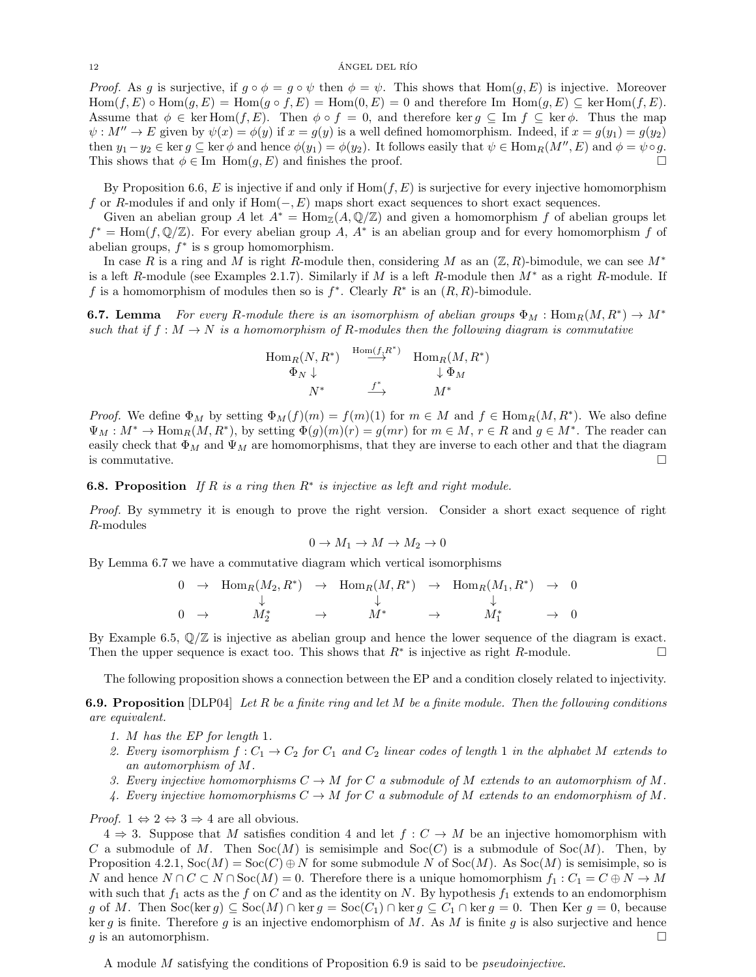#### $12$   $\widehat{A}$ NGEL DEL RÍO

*Proof.* As g is surjective, if  $g \circ \phi = g \circ \psi$  then  $\phi = \psi$ . This shows that  $Hom(g, E)$  is injective. Moreover  $\text{Hom}(f, E) \circ \text{Hom}(g, E) = \text{Hom}(g \circ f, E) = \text{Hom}(0, E) = 0$  and therefore Im  $\text{Hom}(g, E) \subseteq \text{ker Hom}(f, E)$ . Assume that  $\phi \in \text{ker Hom}(f, E)$ . Then  $\phi \circ f = 0$ , and therefore ker  $g \subseteq \text{Im } f \subseteq \text{ker } \phi$ . Thus the map  $\psi: M'' \to E$  given by  $\psi(x) = \phi(y)$  if  $x = g(y)$  is a well defined homomorphism. Indeed, if  $x = g(y_1) = g(y_2)$ then  $y_1 - y_2 \in \ker g \subseteq \ker \phi$  and hence  $\phi(y_1) = \phi(y_2)$ . It follows easily that  $\psi \in \text{Hom}_R(M'', E)$  and  $\phi = \psi \circ g$ . This shows that  $\phi \in \text{Im} \text{ Hom}(g, E)$  and finishes the proof.

By Proposition [6.6,](#page-10-1) E is injective if and only if  $Hom(f, E)$  is surjective for every injective homomorphism f or R-modules if and only if  $Hom(-, E)$  maps short exact sequences to short exact sequences.

Given an abelian group A let  $A^* = \text{Hom}_{\mathbb{Z}}(A, \mathbb{Q}/\mathbb{Z})$  and given a homomorphism f of abelian groups let  $f^* = \text{Hom}(f, \mathbb{Q}/\mathbb{Z})$ . For every abelian group A,  $A^*$  is an abelian group and for every homomorphism f of abelian groups,  $f^*$  is s group homomorphism.

In case R is a ring and M is right R-module then, considering M as an  $(\mathbb{Z}, R)$ -bimodule, we can see  $M^*$ is a left R-module (see Examples [2.1.](#page-1-0)[7\)](#page-2-1). Similarly if M is a left R-module then  $M^*$  as a right R-module. If f is a homomorphism of modules then so is  $f^*$ . Clearly  $R^*$  is an  $(R, R)$ -bimodule.

<span id="page-11-0"></span>**6.7. Lemma** For every R-module there is an isomorphism of abelian groups  $\Phi_M$ : Hom $_R(M, R^*) \to M^*$ such that if  $f : M \to N$  is a homomorphism of R-modules then the following diagram is commutative

$$
\begin{array}{ccc}\n\text{Hom}_R(N,R^*) & \xrightarrow{\text{Hom}(f,R^*)} & \text{Hom}_R(M,R^*) \\
\Phi_N \downarrow & & \downarrow \Phi_M \\
N^* & & \xrightarrow{f^*} & M^* \\
\end{array}
$$

*Proof.* We define  $\Phi_M$  by setting  $\Phi_M(f)(m) = f(m)(1)$  for  $m \in M$  and  $f \in \text{Hom}_R(M, R^*)$ . We also define  $\Psi_M: M^* \to \text{Hom}_R(M, R^*)$ , by setting  $\Phi(g)(m)(r) = g(mr)$  for  $m \in M$ ,  $r \in R$  and  $g \in M^*$ . The reader can easily check that  $\Phi_M$  and  $\Psi_M$  are homomorphisms, that they are inverse to each other and that the diagram is commutative.  $\Box$ 

<span id="page-11-2"></span>**6.8. Proposition** If R is a ring then  $R^*$  is injective as left and right module.

Proof. By symmetry it is enough to prove the right version. Consider a short exact sequence of right R-modules

$$
0 \to M_1 \to M \to M_2 \to 0
$$

By Lemma [6.7](#page-11-0) we have a commutative diagram which vertical isomorphisms

$$
\begin{matrix}0&\to\begin{array}{ccc}\operatorname{Hom}_R(M_2,R^*)&\to\begin{array}{ccc}\operatorname{Hom}_R(M,R^*)&\to\begin{array}{ccc}\operatorname{Hom}_R(M_1,R^*)&\to\end{array}0\\ \downarrow&&\downarrow\\0&\to\begin{array}{ccc}\mathcal{M}_2^*&\to\end{array}&&\begin{array}{ccc}\mathcal{M}^*&\to\end{array}&&\begin{array}{ccc}\end{array}\\ \end{matrix}
$$

By Example [6.5,](#page-10-2)  $\mathbb{Q}/\mathbb{Z}$  is injective as abelian group and hence the lower sequence of the diagram is exact. Then the upper sequence is exact too. This shows that  $R^*$  is injective as right R-module.

The following proposition shows a connection between the EP and a condition closely related to injectivity.

<span id="page-11-1"></span>**6.9. Proposition** [\[DLP04\]](#page-23-5) Let R be a finite ring and let M be a finite module. Then the following conditions are equivalent.

- 1. M has the EP for length 1.
- 2. Every isomorphism  $f: C_1 \to C_2$  for  $C_1$  and  $C_2$  linear codes of length 1 in the alphabet M extends to an automorphism of M.
- 3. Every injective homomorphisms  $C \to M$  for C a submodule of M extends to an automorphism of M.
- 4. Every injective homomorphisms  $C \to M$  for C a submodule of M extends to an endomorphism of M.

*Proof.*  $1 \Leftrightarrow 2 \Leftrightarrow 3 \Rightarrow 4$  are all obvious.

 $4 \Rightarrow 3$ . Suppose that M satisfies condition 4 and let  $f: C \rightarrow M$  be an injective homomorphism with C a submodule of M. Then  $Soc(M)$  is semisimple and  $Soc(C)$  is a submodule of  $Soc(M)$ . Then, by Proposition [4.2.](#page-6-6)[1,](#page-6-1)  $Soc(M) = Soc(C) \oplus N$  for some submodule N of  $Soc(M)$ . As  $Soc(M)$  is semisimple, so is N and hence  $N \cap C \subset N \cap \text{Soc}(M) = 0$ . Therefore there is a unique homomorphism  $f_1 : C_1 = C \oplus N \to M$ with such that  $f_1$  acts as the f on C and as the identity on N. By hypothesis  $f_1$  extends to an endomorphism g of M. Then  $\text{Soc}(\ker g) \subseteq \text{Soc}(M) \cap \ker g = \text{Soc}(C_1) \cap \ker g \subseteq C_1 \cap \ker g = 0$ . Then Ker  $g = 0$ , because ker g is finite. Therefore g is an injective endomorphism of  $M$ . As  $M$  is finite g is also surjective and hence g is an automorphism.  $\square$ 

A module M satisfying the conditions of Proposition [6.9](#page-11-1) is said to be pseudoinjective.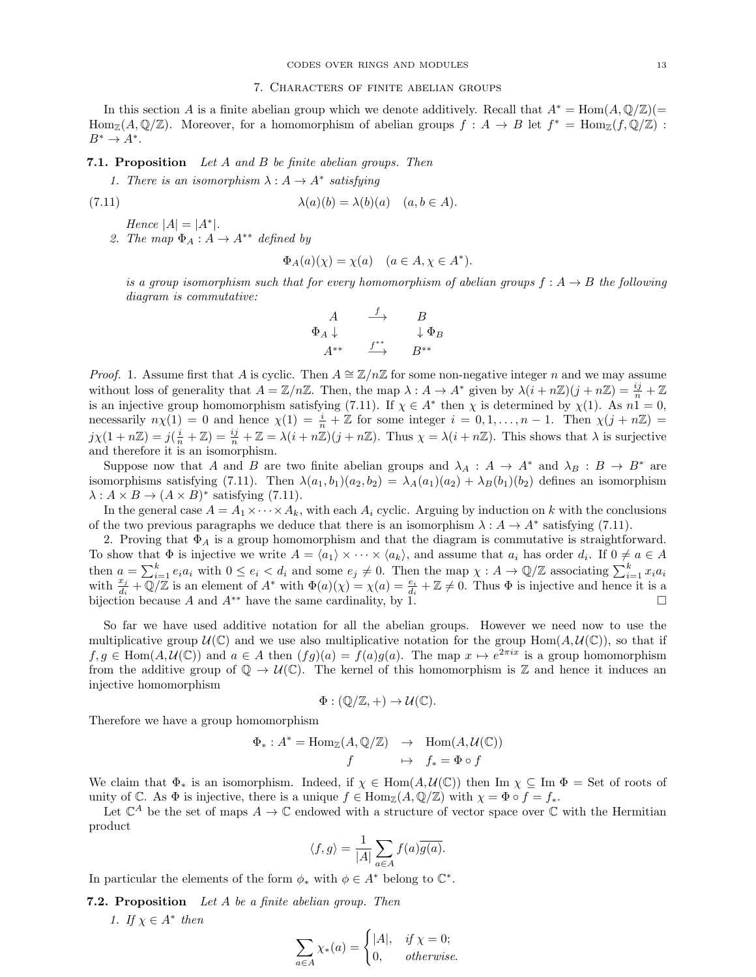In this section A is a finite abelian group which we denote additively. Recall that  $A^* = \text{Hom}(A, \mathbb{Q}/\mathbb{Z})(=$  $\text{Hom}_{\mathbb{Z}}(A,\mathbb{Q}/\mathbb{Z})$ . Moreover, for a homomorphism of abelian groups  $f : A \to B$  let  $f^* = \text{Hom}_{\mathbb{Z}}(f,\mathbb{Q}/\mathbb{Z})$ :  $B^* \to A^*$ .

# <span id="page-12-4"></span>7.1. Proposition Let A and B be finite abelian groups. Then

<span id="page-12-0"></span>1. There is an isomorphism  $\lambda : A \to A^*$  satisfying

(7.11) 
$$
\lambda(a)(b) = \lambda(b)(a) \quad (a, b \in A).
$$

<span id="page-12-2"></span>Hence  $|A| = |A^*|$ . 2. The map  $\Phi_A : A \to A^{**}$  defined by

<span id="page-12-1"></span>
$$
\Phi_A(a)(\chi) = \chi(a) \quad (a \in A, \chi \in A^*).
$$

is a group isomorphism such that for every homomorphism of abelian groups  $f : A \rightarrow B$  the following diagram is commutative:

$$
\begin{array}{ccc} & A & \stackrel{f}{\longrightarrow} & B \\ \Phi_A \downarrow && \downarrow \Phi_B \\ A^{**} & \stackrel{f^{**}}{\longrightarrow} & B^{**} \end{array}
$$

*Proof.* [1.](#page-12-0) Assume first that A is cyclic. Then  $A \cong \mathbb{Z}/n\mathbb{Z}$  for some non-negative integer n and we may assume without loss of generality that  $A = \mathbb{Z}/n\mathbb{Z}$ . Then, the map  $\lambda : A \to A^*$  given by  $\lambda(i + n\mathbb{Z})(j + n\mathbb{Z}) = \frac{ij}{n} + \mathbb{Z}$ is an injective group homomorphism satisfying [\(7.11\)](#page-12-1). If  $\chi \in A^*$  then  $\chi$  is determined by  $\chi(1)$ . As  $n\tilde{1} = 0$ , necessarily  $n\chi(1) = 0$  and hence  $\chi(1) = \frac{i}{n} + \mathbb{Z}$  for some integer  $i = 0, 1, ..., n - 1$ . Then  $\chi(j + n\mathbb{Z}) =$  $j\chi(1+n\mathbb{Z})=j(\frac{i}{n}+\mathbb{Z})=\frac{ij}{n}+\mathbb{Z}=\lambda(i+n\mathbb{Z})(j+n\mathbb{Z})$ . Thus  $\chi=\lambda(i+n\mathbb{Z})$ . This shows that  $\lambda$  is surjective and therefore it is an isomorphism.

Suppose now that A and B are two finite abelian groups and  $\lambda_A : A \to A^*$  and  $\lambda_B : B \to B^*$  are isomorphisms satisfying [\(7.11\)](#page-12-1). Then  $\lambda(a_1, b_1)(a_2, b_2) = \lambda_A(a_1)(a_2) + \lambda_B(b_1)(b_2)$  defines an isomorphism  $\lambda: A \times B \to (A \times B)^*$  satisfying [\(7.11\)](#page-12-1).

In the general case  $A = A_1 \times \cdots \times A_k$ , with each  $A_i$  cyclic. Arguing by induction on k with the conclusions of the two previous paragraphs we deduce that there is an isomorphism  $\lambda : A \to A^*$  satisfying [\(7.11\)](#page-12-1).

[2.](#page-12-2) Proving that  $\Phi_A$  is a group homomorphism and that the diagram is commutative is straightforward. To show that  $\Phi$  is injective we write  $A = \langle a_1 \rangle \times \cdots \times \langle a_k \rangle$ , and assume that  $a_i$  has order  $d_i$ . If  $0 \neq a \in A$ then  $a = \sum_{i=1}^{k} e_i a_i$  with  $0 \le e_i < d_i$  and some  $e_j \neq 0$ . Then the map  $\chi : A \to \mathbb{Q}/\mathbb{Z}$  associating  $\sum_{i=1}^{k} x_i a_i$ with  $\frac{x_j}{d_i} + \mathbb{Q}/\mathbb{Z}$  is an element of  $A^*$  with  $\Phi(a)(\chi) = \chi(a) = \frac{e_i}{d_i} + \mathbb{Z} \neq 0$ . Thus  $\Phi$  is injective and hence it is a bijection because A and  $A^{**}$  have the same cardinality, by [1.](#page-12-0)

So far we have used additive notation for all the abelian groups. However we need now to use the multiplicative group  $\mathcal{U}(\mathbb{C})$  and we use also multiplicative notation for the group Hom $(A, \mathcal{U}(\mathbb{C}))$ , so that if  $f, g \in \text{Hom}(A, \mathcal{U}(\mathbb{C}))$  and  $a \in A$  then  $(fg)(a) = f(a)g(a)$ . The map  $x \mapsto e^{2\pi ix}$  is a group homomorphism from the additive group of  $\mathbb{Q} \to \mathcal{U}(\mathbb{C})$ . The kernel of this homomorphism is Z and hence it induces an injective homomorphism

$$
\Phi: (\mathbb{Q}/\mathbb{Z},+) \to \mathcal{U}(\mathbb{C}).
$$

Therefore we have a group homomorphism

$$
\Phi_*: A^* = \text{Hom}_{\mathbb{Z}}(A, \mathbb{Q}/\mathbb{Z}) \rightarrow \text{Hom}(A, \mathcal{U}(\mathbb{C}))
$$
  

$$
f \rightarrow f_* = \Phi \circ f
$$

We claim that  $\Phi_*$  is an isomorphism. Indeed, if  $\chi \in \text{Hom}(A, \mathcal{U}(\mathbb{C}))$  then Im  $\chi \subseteq \text{Im } \Phi = \text{Set}$  of roots of unity of C. As  $\Phi$  is injective, there is a unique  $f \in \text{Hom}_{\mathbb{Z}}(A, \mathbb{Q}/\mathbb{Z})$  with  $\chi = \Phi \circ f = f_*$ .

Let  $\mathbb{C}^A$  be the set of maps  $A \to \mathbb{C}$  endowed with a structure of vector space over  $\mathbb{C}$  with the Hermitian product

$$
\langle f, g \rangle = \frac{1}{|A|} \sum_{a \in A} f(a) \overline{g(a)}.
$$

In particular the elements of the form  $\phi_*$  with  $\phi \in A^*$  belong to  $\mathbb{C}^*$ .

<span id="page-12-5"></span><span id="page-12-3"></span>7.2. Proposition Let A be a finite abelian group. Then

1. If  $\chi \in A^*$  then

$$
\sum_{a \in A} \chi_*(a) = \begin{cases} |A|, & \text{if } \chi = 0; \\ 0, & \text{otherwise.} \end{cases}
$$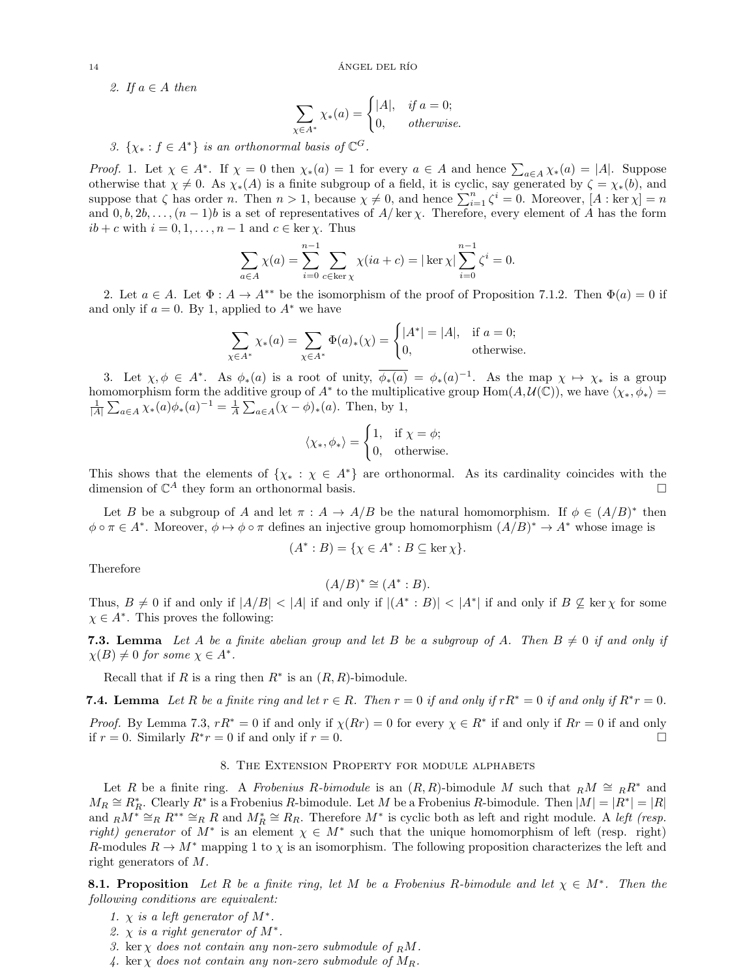<span id="page-13-0"></span>2. If  $a \in A$  then

$$
\sum_{\chi \in A^*} \chi_*(a) = \begin{cases} |A|, & \text{if } a = 0; \\ 0, & \text{otherwise.} \end{cases}
$$

<span id="page-13-1"></span>3.  $\{\chi_* : f \in A^*\}$  is an orthonormal basis of  $\mathbb{C}^G$ .

*Proof.* [1.](#page-12-3) Let  $\chi \in A^*$ . If  $\chi = 0$  then  $\chi_*(a) = 1$  for every  $a \in A$  and hence  $\sum_{a \in A} \chi_*(a) = |A|$ . Suppose otherwise that  $\chi \neq 0$ . As  $\chi_*(A)$  is a finite subgroup of a field, it is cyclic, say generated by  $\zeta = \chi_*(b)$ , and suppose that  $\zeta$  has order n. Then  $n > 1$ , because  $\chi \neq 0$ , and hence  $\sum_{i=1}^{n} \zeta^{i} = 0$ . Moreover,  $[A : \text{ker } \chi] = n$ and  $0, b, 2b, \ldots, (n-1)b$  is a set of representatives of  $A/\text{ker }\chi$ . Therefore, every element of A has the form  $ib + c$  with  $i = 0, 1, \ldots, n - 1$  and  $c \in \text{ker } \chi$ . Thus

$$
\sum_{a \in A} \chi(a) = \sum_{i=0}^{n-1} \sum_{c \in \ker \chi} \chi(ia + c) = |\ker \chi| \sum_{i=0}^{n-1} \zeta^i = 0.
$$

[2.](#page-13-0) Let  $a \in A$ . Let  $\Phi : A \to A^{**}$  be the isomorphism of the proof of Proposition [7.1](#page-12-4)[.2.](#page-12-2) Then  $\Phi(a) = 0$  if and only if  $a = 0$ . By [1,](#page-12-3) applied to  $A^*$  we have

$$
\sum_{\chi \in A^*} \chi_*(a) = \sum_{\chi \in A^*} \Phi(a)_*(\chi) = \begin{cases} |A^*| = |A|, & \text{if } a = 0; \\ 0, & \text{otherwise.} \end{cases}
$$

[3.](#page-13-1) Let  $\chi, \phi \in A^*$ . As  $\phi_*(a)$  is a root of unity,  $\overline{\phi_*(a)} = \phi_*(a)^{-1}$ . As the map  $\chi \mapsto \chi_*$  is a group homomorphism form the additive group of  $A^*$  to the multiplicative group  $\text{Hom}(A, \mathcal{U}(\mathbb{C}))$ , we have  $\langle \chi_*, \phi_* \rangle =$  $\frac{1}{|A|} \sum_{a \in A} \chi_*(a) \phi_*(a)^{-1} = \frac{1}{A} \sum_{a \in A} (\chi - \phi)_*(a)$ . Then, by [1,](#page-12-3)

$$
\langle \chi_*, \phi_* \rangle = \begin{cases} 1, & \text{if } \chi = \phi; \\ 0, & \text{otherwise.} \end{cases}
$$

This shows that the elements of  $\{\chi_* : \chi \in A^*\}$  are orthonormal. As its cardinality coincides with the dimension of  $\mathbb{C}^A$  they form an orthonormal basis.

Let B be a subgroup of A and let  $\pi : A \to A/B$  be the natural homomorphism. If  $\phi \in (A/B)^*$  then  $\phi \circ \pi \in A^*$ . Moreover,  $\phi \mapsto \phi \circ \pi$  defines an injective group homomorphism  $(A/B)^* \to A^*$  whose image is

$$
(A^* : B) = \{ \chi \in A^* : B \subseteq \ker \chi \}.
$$

Therefore

$$
(A/B)^* \cong (A^* : B).
$$

Thus,  $B \neq 0$  if and only if  $|A/B| < |A|$  if and only if  $|(A^* : B)| < |A^*|$  if and only if  $B \not\subseteq \text{ker } \chi$  for some  $\chi \in A^*$ . This proves the following:

<span id="page-13-2"></span>**7.3. Lemma** Let A be a finite abelian group and let B be a subgroup of A. Then  $B \neq 0$  if and only if  $\chi(B) \neq 0$  for some  $\chi \in A^*$ .

Recall that if R is a ring then  $R^*$  is an  $(R, R)$ -bimodule.

<span id="page-13-3"></span>**7.4. Lemma** Let R be a finite ring and let  $r \in R$ . Then  $r = 0$  if and only if  $rR^* = 0$  if and only if  $R^*r = 0$ .

*Proof.* By Lemma [7.3,](#page-13-2)  $rR^* = 0$  if and only if  $\chi(Rr) = 0$  for every  $\chi \in R^*$  if and only if  $Rr = 0$  if and only if  $r = 0$ . Similarly  $R^*r = 0$  if and only if  $r = 0$ .

# 8. The Extension Property for module alphabets

Let R be a finite ring. A Frobenius R-bimodule is an  $(R, R)$ -bimodule M such that  $_R M \cong_R R^*$  and  $M_R \cong R_R^*$ . Clearly  $R^*$  is a Frobenius R-bimodule. Let M be a Frobenius R-bimodule. Then  $|M| = |R^*| = |R|$ and  $_R M^* \cong_R R^{**} \cong_R R$  and  $M_R^* \cong R_R$ . Therefore  $M^*$  is cyclic both as left and right module. A left (resp. right) generator of  $M^*$  is an element  $\chi \in M^*$  such that the unique homomorphism of left (resp. right) R-modules  $R \to M^*$  mapping 1 to  $\chi$  is an isomorphism. The following proposition characterizes the left and right generators of M.

<span id="page-13-4"></span>**8.1. Proposition** Let R be a finite ring, let M be a Frobenius R-bimodule and let  $\chi \in M^*$ . Then the following conditions are equivalent:

- 1.  $\chi$  is a left generator of  $M^*$ .
- 2.  $\chi$  is a right generator of  $M^*$ .
- 3. ker  $\chi$  does not contain any non-zero submodule of  $_R M$ .
- 4. ker  $\chi$  does not contain any non-zero submodule of  $M_R$ .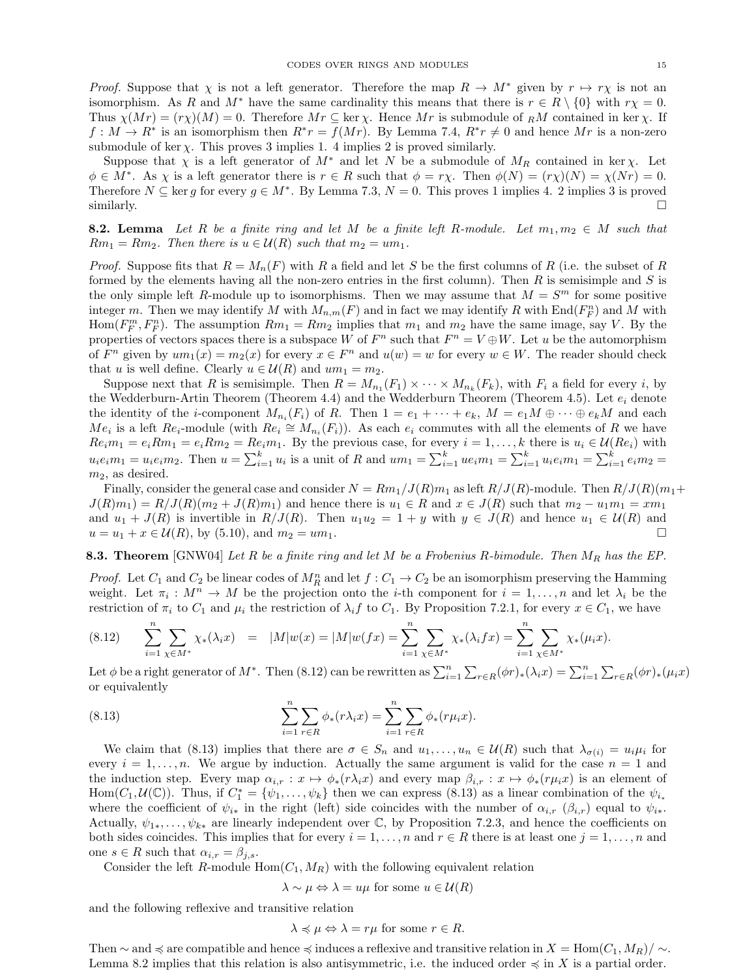*Proof.* Suppose that  $\chi$  is not a left generator. Therefore the map  $R \to M^*$  given by  $r \mapsto r\chi$  is not an isomorphism. As R and  $M^*$  have the same cardinality this means that there is  $r \in R \setminus \{0\}$  with  $r\chi = 0$ . Thus  $\chi(Mr) = (r\chi)(M) = 0$ . Therefore  $Mr \subseteq \text{ker }\chi$ . Hence  $Mr$  is submodule of RM contained in ker  $\chi$ . If  $f: M \to R^*$  is an isomorphism then  $R^*r = f(Mr)$ . By Lemma [7.4,](#page-13-3)  $R^*r \neq 0$  and hence Mr is a non-zero submodule of ker  $\chi$ . This proves 3 implies 1. 4 implies 2 is proved similarly.

Suppose that  $\chi$  is a left generator of  $M^*$  and let N be a submodule of  $M_R$  contained in ker  $\chi$ . Let  $\phi \in M^*$ . As  $\chi$  is a left generator there is  $r \in R$  such that  $\phi = r\chi$ . Then  $\phi(N) = (r\chi)(N) = \chi(Nr) = 0$ . Therefore  $N \subseteq \text{ker } g$  for every  $g \in M^*$ . By Lemma [7.3,](#page-13-2)  $N = 0$ . This proves 1 implies 4. 2 implies 3 is proved similarly.  $\square$ 

<span id="page-14-2"></span>**8.2. Lemma** Let R be a finite ring and let M be a finite left R-module. Let  $m_1, m_2 \in M$  such that  $Rm_1 = Rm_2$ . Then there is  $u \in \mathcal{U}(R)$  such that  $m_2 = um_1$ .

*Proof.* Suppose fits that  $R = M_n(F)$  with R a field and let S be the first columns of R (i.e. the subset of R formed by the elements having all the non-zero entries in the first column). Then  $R$  is semisimple and  $S$  is the only simple left R-module up to isomorphisms. Then we may assume that  $M = S<sup>m</sup>$  for some positive integer m. Then we may identify M with  $M_{n,m}(F)$  and in fact we may identify R with  $\text{End}(F_F^n)$  and M with Hom $(F_F^m, F_F^n)$ . The assumption  $Rm_1 = Rm_2$  implies that  $m_1$  and  $m_2$  have the same image, say V. By the properties of vectors spaces there is a subspace W of  $F^n$  such that  $F^n = V \oplus W$ . Let u be the automorphism of  $F^n$  given by  $um_1(x) = m_2(x)$  for every  $x \in F^n$  and  $u(w) = w$  for every  $w \in W$ . The reader should check that u is well define. Clearly  $u \in \mathcal{U}(R)$  and  $um_1 = m_2$ .

Suppose next that R is semisimple. Then  $R = M_{n_1}(F_1) \times \cdots \times M_{n_k}(F_k)$ , with  $F_i$  a field for every i, by the Wedderburn-Artin Theorem (Theorem [4.4\)](#page-7-5) and the Wedderburn Theorem (Theorem [4.5\)](#page-8-1). Let  $e_i$  denote the identity of the *i*-component  $M_{n_i}(F_i)$  of R. Then  $1 = e_1 + \cdots + e_k$ ,  $M = e_1M \oplus \cdots \oplus e_kM$  and each  $Me_i$  is a left  $Re_i$ -module (with  $Re_i \cong M_{n_i}(F_i)$ ). As each  $e_i$  commutes with all the elements of R we have  $Re_i m_1 = e_i R m_1 = e_i R m_2 = Re_i m_1$ . By the previous case, for every  $i = 1, ..., k$  there is  $u_i \in \mathcal{U}(Re_i)$  with  $u_i e_i m_1 = u_i e_i m_2$ . Then  $u = \sum_{i=1}^k u_i$  is a unit of R and  $um_1 = \sum_{i=1}^k u e_i m_1 = \sum_{i=1}^k u_i e_i m_1 = \sum_{i=1}^k e_i m_2 =$  $m_2$ , as desired.

Finally, consider the general case and consider  $N = Rm_1/J(R)m_1$  as left  $R/J(R)$ -module. Then  $R/J(R)(m_1 +$  $J(R)m_1) = R/J(R)(m_2 + J(R)m_1)$  and hence there is  $u_1 \in R$  and  $x \in J(R)$  such that  $m_2 - u_1m_1 = xm_1$ and  $u_1 + J(R)$  is invertible in  $R/J(R)$ . Then  $u_1u_2 = 1 + y$  with  $y \in J(R)$  and hence  $u_1 \in U(R)$  and  $u = u_1 + x \in \mathcal{U}(R)$ , by [\(5.10\)](#page-9-3), and  $m_2 = u m_1$ .

<span id="page-14-3"></span>**8.3. Theorem** [\[GNW04\]](#page-23-6) Let R be a finite ring and let M be a Frobenius R-bimodule. Then  $M_R$  has the EP.

*Proof.* Let  $C_1$  and  $C_2$  be linear codes of  $M_R^n$  and let  $f: C_1 \to C_2$  be an isomorphism preserving the Hamming weight. Let  $\pi_i : M^n \to M$  be the projection onto the *i*-th component for  $i = 1, ..., n$  and let  $\lambda_i$  be the restriction of  $\pi_i$  to  $C_1$  and  $\mu_i$  the restriction of  $\lambda_i f$  to  $C_1$ . By Proposition [7.2.](#page-12-5)[1,](#page-12-3) for every  $x \in C_1$ , we have

<span id="page-14-0"></span>
$$
(8.12) \qquad \sum_{i=1}^{n} \sum_{\chi \in M^*} \chi_*(\lambda_i x) = |M|w(x) = |M|w(fx) = \sum_{i=1}^{n} \sum_{\chi \in M^*} \chi_*(\lambda_i f x) = \sum_{i=1}^{n} \sum_{\chi \in M^*} \chi_*(\mu_i x).
$$

Let  $\phi$  be a right generator of  $M^*$ . Then [\(8.12\)](#page-14-0) can be rewritten as  $\sum_{i=1}^n \sum_{r \in R} (\phi r)_*(\lambda_i x) = \sum_{i=1}^n \sum_{r \in R} (\phi r)_*(\mu_i x)$ or equivalently

(8.13) 
$$
\sum_{i=1}^{n} \sum_{r \in R} \phi_*(r \lambda_i x) = \sum_{i=1}^{n} \sum_{r \in R} \phi_*(r \mu_i x).
$$

We claim that [\(8.13\)](#page-14-1) implies that there are  $\sigma \in S_n$  and  $u_1, \ldots, u_n \in \mathcal{U}(R)$  such that  $\lambda_{\sigma(i)} = u_i \mu_i$  for every  $i = 1, \ldots, n$ . We argue by induction. Actually the same argument is valid for the case  $n = 1$  and the induction step. Every map  $\alpha_{i,r} : x \mapsto \phi_*(r\lambda_i x)$  and every map  $\beta_{i,r} : x \mapsto \phi_*(r\mu_i x)$  is an element of Hom $(C_1, \mathcal{U}(\mathbb{C}))$ . Thus, if  $C_1^* = \{\psi_1, \ldots, \psi_k\}$  then we can express  $(8.13)$  as a linear combination of the  $\psi_{i_*}$ where the coefficient of  $\psi_{i*}$  in the right (left) side coincides with the number of  $\alpha_{i,r}$  ( $\beta_{i,r}$ ) equal to  $\psi_{i*}$ . Actually,  $\psi_{1*}, \ldots, \psi_{k*}$  are linearly independent over C, by Proposition [7.2.](#page-12-5)[3,](#page-13-1) and hence the coefficients on both sides coincides. This implies that for every  $i = 1, \ldots, n$  and  $r \in R$  there is at least one  $j = 1, \ldots, n$  and one  $s \in R$  such that  $\alpha_{i,r} = \beta_{i,s}$ .

Consider the left R-module  $Hom(C_1, M_R)$  with the following equivalent relation

<span id="page-14-1"></span>
$$
\lambda \sim \mu \Leftrightarrow \lambda = u\mu
$$
 for some  $u \in \mathcal{U}(R)$ 

and the following reflexive and transitive relation

$$
\lambda \preccurlyeq \mu \Leftrightarrow \lambda = r\mu \text{ for some } r \in R.
$$

Then  $\sim$  and  $\preccurlyeq$  are compatible and hence  $\preccurlyeq$  induces a reflexive and transitive relation in  $X = \text{Hom}(C_1, M_R)/\sim$ . Lemma [8.2](#page-14-2) implies that this relation is also antisymmetric, i.e. the induced order  $\preccurlyeq$  in X is a partial order.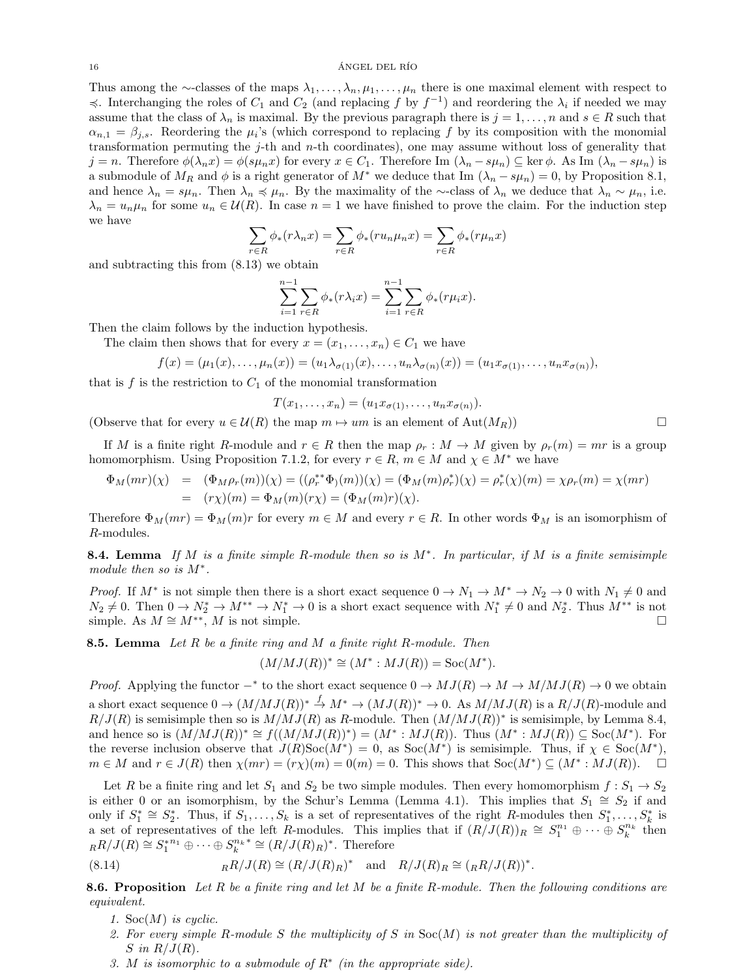#### $16$   $\overline{A}$ NGEL DEL RÍO

Thus among the ∼-classes of the maps  $\lambda_1, \ldots, \lambda_n, \mu_1, \ldots, \mu_n$  there is one maximal element with respect to  $\preccurlyeq$ . Interchanging the roles of  $C_1$  and  $C_2$  (and replacing f by  $f^{-1}$ ) and reordering the  $\lambda_i$  if needed we may assume that the class of  $\lambda_n$  is maximal. By the previous paragraph there is  $j = 1, \ldots, n$  and  $s \in R$  such that  $\alpha_{n,1} = \beta_{j,s}$ . Reordering the  $\mu_i$ 's (which correspond to replacing f by its composition with the monomial transformation permuting the j-th and n-th coordinates), one may assume without loss of generality that  $j = n$ . Therefore  $\phi(\lambda_n x) = \phi(s\mu_n x)$  for every  $x \in C_1$ . Therefore Im  $(\lambda_n - s\mu_n) \subseteq \ker \phi$ . As Im  $(\lambda_n - s\mu_n)$  is a submodule of  $M_R$  and  $\phi$  is a right generator of  $M^*$  we deduce that Im  $(\lambda_n - s\mu_n) = 0$ , by Proposition [8.1,](#page-13-4) and hence  $\lambda_n = s\mu_n$ . Then  $\lambda_n \preccurlyeq \mu_n$ . By the maximality of the ∼-class of  $\lambda_n$  we deduce that  $\lambda_n \sim \mu_n$ , i.e.  $\lambda_n = u_n \mu_n$  for some  $u_n \in \mathcal{U}(R)$ . In case  $n = 1$  we have finished to prove the claim. For the induction step we have

$$
\sum_{r \in R} \phi_*(r\lambda_n x) = \sum_{r \in R} \phi_*(ru_n \mu_n x) = \sum_{r \in R} \phi_*(r\mu_n x)
$$

and subtracting this from [\(8.13\)](#page-14-1) we obtain

$$
\sum_{i=1}^{n-1} \sum_{r \in R} \phi_*(r \lambda_i x) = \sum_{i=1}^{n-1} \sum_{r \in R} \phi_*(r \mu_i x).
$$

Then the claim follows by the induction hypothesis.

The claim then shows that for every 
$$
x = (x_1, \ldots, x_n) \in C_1
$$
 we have

$$
f(x) = (\mu_1(x), \dots, \mu_n(x)) = (u_1 \lambda_{\sigma(1)}(x), \dots, u_n \lambda_{\sigma(n)}(x)) = (u_1 x_{\sigma(1)}, \dots, u_n x_{\sigma(n)}),
$$

that is f is the restriction to  $C_1$  of the monomial transformation

$$
T(x_1,\ldots,x_n)=(u_1x_{\sigma(1)},\ldots,u_nx_{\sigma(n)}).
$$

(Observe that for every  $u \in \mathcal{U}(R)$  the map  $m \mapsto um$  is an element of  $\text{Aut}(M_R)$ )

If M is a finite right R-module and  $r \in R$  then the map  $\rho_r : M \to M$  given by  $\rho_r(m) = mr$  is a group homomorphism. Using Proposition [7.1.](#page-12-4)[2,](#page-12-2) for every  $r \in R$ ,  $m \in M$  and  $\chi \in M^*$  we have

$$
\Phi_M(mr)(\chi) = (\Phi_M \rho_r(m))(\chi) = ((\rho_r^{**}\Phi_1(m))(\chi) = (\Phi_M(m)\rho_r^{*})(\chi) = \rho_r^{*}(\chi)(m) = \chi \rho_r(m) = \chi(mr)
$$
  
=  $(r\chi)(m) = \Phi_M(m)(r\chi) = (\Phi_M(m)r)(\chi)$ .

Therefore  $\Phi_M(mr) = \Phi_M(m)r$  for every  $m \in M$  and every  $r \in R$ . In other words  $\Phi_M$  is an isomorphism of R-modules.

<span id="page-15-0"></span>**8.4. Lemma** If M is a finite simple R-module then so is  $M^*$ . In particular, if M is a finite semisimple module then so is  $M^*$ .

*Proof.* If  $M^*$  is not simple then there is a short exact sequence  $0 \to N_1 \to M^* \to N_2 \to 0$  with  $N_1 \neq 0$  and  $N_2 \neq 0$ . Then  $0 \to N_2^* \to M^{**} \to N_1^* \to 0$  is a short exact sequence with  $N_1^* \neq 0$  and  $N_2^*$ . Thus  $M^{**}$  is not simple. As  $M \cong M^{**}$ , M is not simple.

<span id="page-15-1"></span>**8.5. Lemma** Let  $R$  be a finite ring and  $M$  a finite right  $R$ -module. Then

$$
(M/MJ(R))^{*} \cong (M^{*}: MJ(R)) = \text{Soc}(M^{*}).
$$

*Proof.* Applying the functor  $-$ <sup>\*</sup> to the short exact sequence  $0 \to MJ(R) \to M \to M/MJ(R) \to 0$  we obtain a short exact sequence  $0 \to (M/MJ(R))^* \stackrel{f}{\to} M^* \to (MJ(R))^* \to 0$ . As  $M/MJ(R)$  is a  $R/J(R)$ -module and  $R/J(R)$  is semisimple then so is  $M/MJ(R)$  as R-module. Then  $(M/MJ(R))^*$  is semisimple, by Lemma [8.4,](#page-15-0) and hence so is  $(M/MJ(R))^* \cong f((M/MJ(R))^*) = (M^* : MJ(R))$ . Thus  $(M^* : MJ(R)) \subseteq Soc(M^*)$ . For the reverse inclusion observe that  $J(R)Soc(M^*)=0$ , as  $Soc(M^*)$  is semisimple. Thus, if  $\chi \in Soc(M^*)$ ,  $m \in M$  and  $r \in J(R)$  then  $\chi(mr) = (r\chi)(m) = 0$  (m) = 0. This shows that  $Soc(M^*) \subseteq (M^* : MJ(R))$ .  $\Box$ 

Let R be a finite ring and let  $S_1$  and  $S_2$  be two simple modules. Then every homomorphism  $f: S_1 \to S_2$ is either 0 or an isomorphism, by the Schur's Lemma (Lemma [4.1\)](#page-6-0). This implies that  $S_1 \cong S_2$  if and only if  $S_1^* \cong S_2^*$ . Thus, if  $S_1, \ldots, S_k$  is a set of representatives of the right R-modules then  $S_1^*, \ldots, S_k^*$  is a set of representatives of the left R-modules. This implies that if  $(R/J(R))_R \cong S_1^{n_1} \oplus \cdots \oplus S_k^{n_k}$  then  $_RR/J(R) \cong S_1^{*n_1} \oplus \cdots \oplus S_k^{n_k}^* \cong (R/J(R)_R)^*$ . Therefore

(8.14) 
$$
{}_RR/J(R) \cong (R/J(R)_R)^* \quad \text{and} \quad R/J(R)_R \cong ({}_RR/J(R))^*.
$$

<span id="page-15-3"></span>**8.6. Proposition** Let R be a finite ring and let M be a finite R-module. Then the following conditions are equivalent.

- <span id="page-15-2"></span>1. Soc $(M)$  is cyclic.
- 2. For every simple R-module S the multiplicity of S in  $Soc(M)$  is not greater than the multiplicity of S in  $R/J(R)$ .
- 3. M is isomorphic to a submodule of  $R^*$  (in the appropriate side).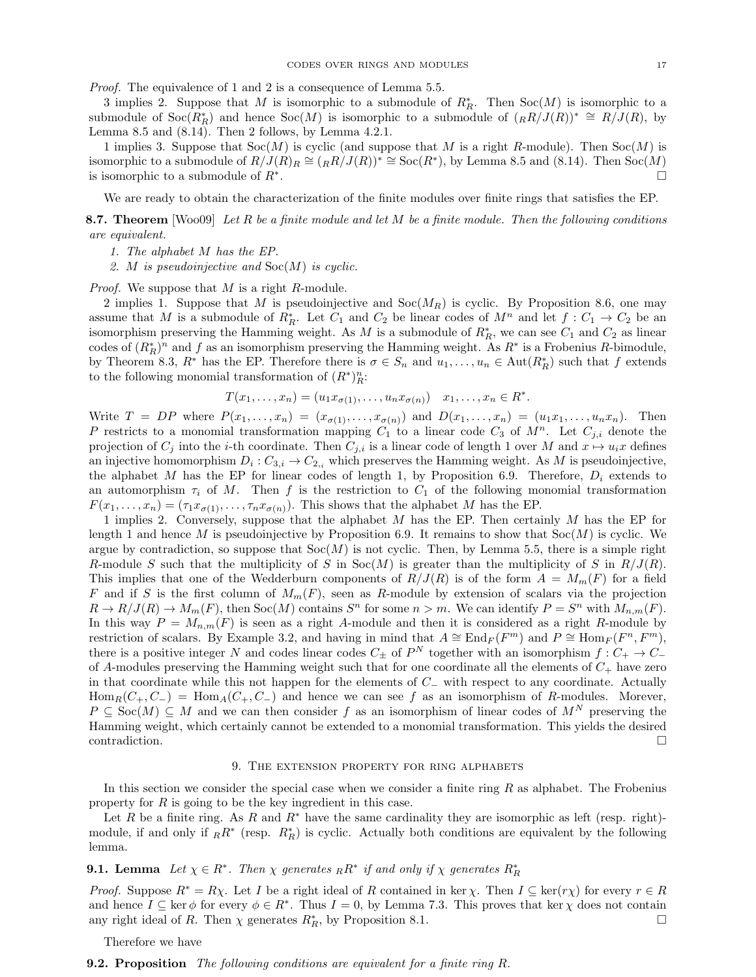Proof. The equivalence of 1 and 2 is a consequence of Lemma [5.5.](#page-9-4)

3 implies 2. Suppose that M is isomorphic to a submodule of  $R_R^*$ . Then  $Soc(M)$  is isomorphic to a submodule of  $Soc(R_R^*)$  and hence  $Soc(M)$  is isomorphic to a submodule of  $({}_RR/J(R))^* \cong R/J(R)$ , by Lemma [8.5](#page-15-1) and  $(8.14)$ . Then 2 follows, by Lemma [4.2.](#page-6-6)[1.](#page-6-1)

1 implies 3. Suppose that  $Soc(M)$  is cyclic (and suppose that M is a right R-module). Then  $Soc(M)$  is isomorphic to a submodule of  $R/J(R)_R \cong (R/R)/J(R)^* \cong \text{Soc}(R^*)$ , by Lemma [8.5](#page-15-1) and [\(8.14\)](#page-15-2). Then  $\text{Soc}(M)$ is isomorphic to a submodule of  $R^*$ . .

We are ready to obtain the characterization of the finite modules over finite rings that satisfies the EP.

<span id="page-16-1"></span>**8.7. Theorem** [\[Woo09\]](#page-23-0) Let R be a finite module and let M be a finite module. Then the following conditions are equivalent.

- 1. The alphabet M has the EP.
- 2. M is pseudoinjective and  $Soc(M)$  is cyclic.

Proof. We suppose that M is a right R-module.

2 implies 1. Suppose that M is pseudoinjective and  $Soc(M_R)$  is cyclic. By Proposition [8.6,](#page-15-3) one may assume that M is a submodule of  $R_R^*$ . Let  $C_1$  and  $C_2$  be linear codes of  $M^n$  and let  $f: C_1 \to C_2$  be an isomorphism preserving the Hamming weight. As M is a submodule of  $R_R^*$ , we can see  $C_1$  and  $C_2$  as linear codes of  $(R_R^*)^n$  and f as an isomorphism preserving the Hamming weight. As  $R^*$  is a Frobenius R-bimodule, by Theorem [8.3,](#page-14-3)  $R^*$  has the EP. Therefore there is  $\sigma \in S_n$  and  $u_1, \ldots, u_n \in \text{Aut}(R_R^*)$  such that f extends to the following monomial transformation of  $(R^*)^n_R$ :

$$
T(x_1,\ldots,x_n)=(u_1x_{\sigma(1)},\ldots,u_nx_{\sigma(n)})\quad x_1,\ldots,x_n\in R^*.
$$

Write  $T = DP$  where  $P(x_1, \ldots, x_n) = (x_{\sigma(1)}, \ldots, x_{\sigma(n)})$  and  $D(x_1, \ldots, x_n) = (u_1x_1, \ldots, u_nx_n)$ . Then P restricts to a monomial transformation mapping  $C_1$  to a linear code  $C_3$  of  $M^n$ . Let  $C_{j,i}$  denote the projection of  $C_j$  into the *i*-th coordinate. Then  $C_{j,i}$  is a linear code of length 1 over M and  $x \mapsto u_i x$  defines an injective homomorphism  $D_i: C_{3,i} \to C_{2,i}$  which preserves the Hamming weight. As M is pseudoinjective, the alphabet M has the EP for linear codes of length 1, by Proposition [6.9.](#page-11-1) Therefore,  $D_i$  extends to an automorphism  $\tau_i$  of M. Then f is the restriction to  $C_1$  of the following monomial transformation  $F(x_1, \ldots, x_n) = (\tau_1 x_{\sigma(1)}, \ldots, \tau_n x_{\sigma(n)})$ . This shows that the alphabet M has the EP.

1 implies 2. Conversely, suppose that the alphabet M has the EP. Then certainly M has the EP for length 1 and hence M is pseudoinjective by Proposition [6.9.](#page-11-1) It remains to show that  $Soc(M)$  is cyclic. We argue by contradiction, so suppose that  $Soc(M)$  is not cyclic. Then, by Lemma [5.5,](#page-9-4) there is a simple right R-module S such that the multiplicity of S in Soc(M) is greater than the multiplicity of S in  $R/J(R)$ . This implies that one of the Wedderburn components of  $R/J(R)$  is of the form  $A = M_m(F)$  for a field F and if S is the first column of  $M_m(F)$ , seen as R-module by extension of scalars via the projection  $R \to R/J(R) \to M_m(F)$ , then  $Soc(M)$  contains  $S<sup>n</sup>$  for some  $n > m$ . We can identify  $P = S<sup>n</sup>$  with  $M_{n,m}(F)$ . In this way  $P = M_{n,m}(F)$  is seen as a right A-module and then it is considered as a right R-module by restriction of scalars. By Example [3.2,](#page-5-1) and having in mind that  $A \cong \text{End}_F(F^m)$  and  $P \cong \text{Hom}_F(F^n, F^m)$ , there is a positive integer N and codes linear codes  $C_{\pm}$  of  $P^N$  together with an isomorphism  $f: C_{+} \to C_{-}$ of A-modules preserving the Hamming weight such that for one coordinate all the elements of  $C_{+}$  have zero in that coordinate while this not happen for the elements of C<sup>−</sup> with respect to any coordinate. Actually  $\text{Hom}_R(C_+, C_-) = \text{Hom}_A(C_+, C_-)$  and hence we can see f as an isomorphism of R-modules. Morever,  $P \subseteq \text{Soc}(M) \subseteq M$  and we can then consider f as an isomorphism of linear codes of  $M^N$  preserving the Hamming weight, which certainly cannot be extended to a monomial transformation. This yields the desired contradiction.

## 9. The extension property for ring alphabets

In this section we consider the special case when we consider a finite ring  $R$  as alphabet. The Frobenius property for R is going to be the key ingredient in this case.

Let R be a finite ring. As R and R<sup>∗</sup> have the same cardinality they are isomorphic as left (resp. right)module, if and only if  $_R R^*$  (resp.  $R_R^*$ ) is cyclic. Actually both conditions are equivalent by the following lemma.

# <span id="page-16-2"></span>**9.1. Lemma** Let  $\chi \in R^*$ . Then  $\chi$  generates  $_R R^*$  if and only if  $\chi$  generates  $R_R^*$

*Proof.* Suppose  $R^* = R\chi$ . Let I be a right ideal of R contained in ker  $\chi$ . Then  $I \subseteq \text{ker}(\gamma \chi)$  for every  $r \in R$ and hence  $I \subseteq \ker \phi$  for every  $\phi \in R^*$ . Thus  $I = 0$ , by Lemma [7.3.](#page-13-2) This proves that  $\ker \chi$  does not contain any right ideal of R. Then  $\chi$  generates  $R_R^*$ , by Proposition [8.1.](#page-13-4)

Therefore we have

## <span id="page-16-0"></span>**9.2. Proposition** The following conditions are equivalent for a finite ring R.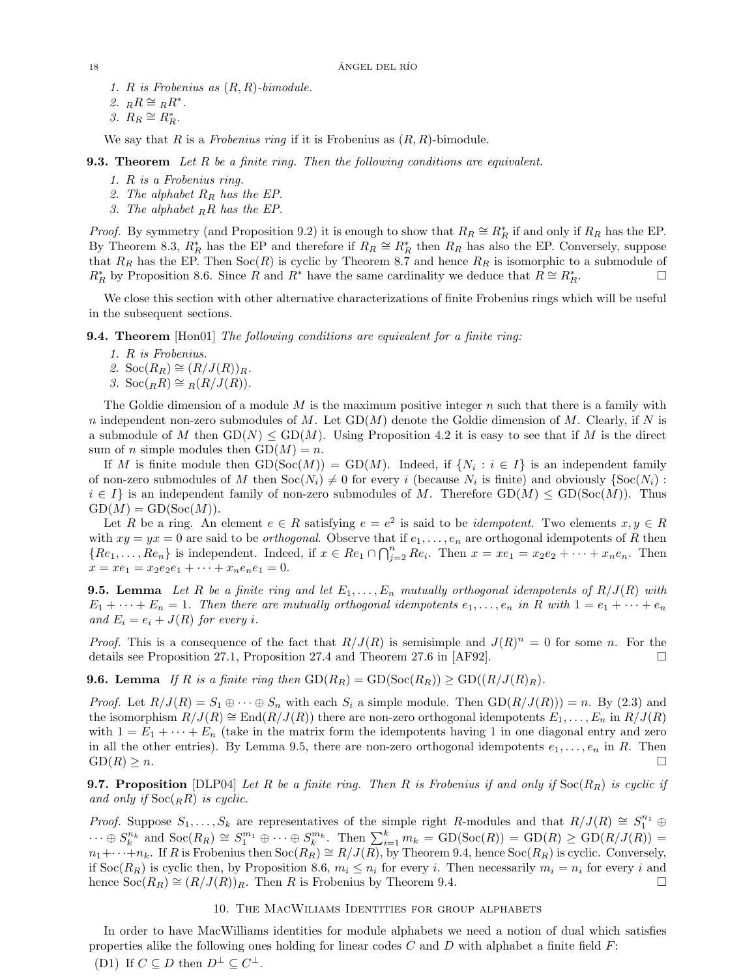1. R is Frobenius as  $(R, R)$ -bimodule.

2.  $_RR \cong_RR^*$ .

3.  $R_R \cong R_R^*$ .

We say that R is a Frobenius ring if it is Frobenius as  $(R, R)$ -bimodule.

**9.3. Theorem** Let R be a finite ring. Then the following conditions are equivalent.

- 1. R is a Frobenius ring.
- 2. The alphabet  $R_R$  has the EP.
- 3. The alphabet  $_R R$  has the EP.

*Proof.* By symmetry (and Proposition [9.2\)](#page-16-0) it is enough to show that  $R_R \cong R_R^*$  if and only if  $R_R$  has the EP. By Theorem [8.3,](#page-14-3)  $R_R^*$  has the EP and therefore if  $R_R \cong R_R^*$  then  $R_R$  has also the EP. Conversely, suppose that  $R_R$  has the EP. Then  $Soc(R)$  is cyclic by Theorem [8.7](#page-16-1) and hence  $R_R$  is isomorphic to a submodule of  $R_R^*$  by Proposition [8.6.](#page-15-3) Since R and  $R^*$  have the same cardinality we deduce that  $R \cong R_I^*$  $R^*$   $\Box$ 

We close this section with other alternative characterizations of finite Frobenius rings which will be useful in the subsequent sections.

<span id="page-17-1"></span>**9.4. Theorem** [\[Hon01\]](#page-23-7) The following conditions are equivalent for a finite ring:

- 1. R is Frobenius.
- 2. Soc $(R_R) \cong (R/J(R))_R$ .
- 3.  $\operatorname{Soc}({}_RR) \cong {}_R(R/J(R))$ .

The Goldie dimension of a module  $M$  is the maximum positive integer  $n$  such that there is a family with n independent non-zero submodules of M. Let  $GD(M)$  denote the Goldie dimension of M. Clearly, if N is a submodule of M then  $GD(N) \leq GD(M)$ . Using Proposition [4.2](#page-6-6) it is easy to see that if M is the direct sum of *n* simple modules then  $GD(M) = n$ .

If M is finite module then  $GD(Soc(M)) = GD(M)$ . Indeed, if  $\{N_i : i \in I\}$  is an independent family of non-zero submodules of M then  $Soc(N_i) \neq 0$  for every i (because  $N_i$  is finite) and obviously  $\{Soc(N_i)$ :  $i \in I$  is an independent family of non-zero submodules of M. Therefore  $GD(M) \leq GD(Soc(M))$ . Thus  $GD(M) = GD(Soc(M)).$ 

Let R be a ring. An element  $e \in R$  satisfying  $e = e^2$  is said to be *idempotent*. Two elements  $x, y \in R$ with  $xy = yx = 0$  are said to be *orthogonal*. Observe that if  $e_1, \ldots, e_n$  are orthogonal idempotents of R then  ${Re_1, \ldots, Re_n}$  is independent. Indeed, if  $x \in Re_1 \cap \bigcap_{j=2}^n Re_i$ . Then  $x = xe_1 = x_2e_2 + \cdots + x_ne_n$ . Then  $x = xe_1 = x_2e_2e_1 + \cdots + x_ne_ne_1 = 0.$ 

<span id="page-17-0"></span>**9.5. Lemma** Let R be a finite ring and let  $E_1, \ldots, E_n$  mutually orthogonal idempotents of  $R/J(R)$  with  $E_1 + \cdots + E_n = 1$ . Then there are mutually orthogonal idempotents  $e_1, \ldots, e_n$  in R with  $1 = e_1 + \cdots + e_n$ and  $E_i = e_i + J(R)$  for every i.

*Proof.* This is a consequence of the fact that  $R/J(R)$  is semisimple and  $J(R)^n = 0$  for some n. For the details see Proposition 27.1, Proposition 27.4 and Theorem 27.6 in [\[AF92\]](#page-23-8).

**9.6.** Lemma If R is a finite ring then  $GD(R_R) = GD(Soc(R_R)) \ge GD((R/J(R_R))$ .

*Proof.* Let  $R/J(R) = S_1 \oplus \cdots \oplus S_n$  with each  $S_i$  a simple module. Then  $GD(R/J(R)) = n$ . By [\(2.3\)](#page-3-2) and the isomorphism  $R/J(R) \cong \text{End}(R/J(R))$  there are non-zero orthogonal idempotents  $E_1, \ldots, E_n$  in  $R/J(R)$ with  $1 = E_1 + \cdots + E_n$  (take in the matrix form the idempotents having 1 in one diagonal entry and zero in all the other entries). By Lemma [9.5,](#page-17-0) there are non-zero orthogonal idempotents  $e_1, \ldots, e_n$  in R. Then  $\text{GD}(R) \geq n.$ 

<span id="page-17-2"></span>**9.7. Proposition** [\[DLP04\]](#page-23-5) Let R be a finite ring. Then R is Frobenius if and only if  $Soc(R_R)$  is cyclic if and only if  $Soc({}_RR)$  is cyclic.

*Proof.* Suppose  $S_1, \ldots, S_k$  are representatives of the simple right R-modules and that  $R/J(R) \cong S_1^{n_1} \oplus$  $\cdots \oplus S_k^{n_k}$  and  $Soc(R_R) \cong S_1^{m_1} \oplus \cdots \oplus S_k^{m_k}$ . Then  $\sum_{i=1}^k m_k = \text{GD}(Soc(R)) = \text{GD}(R) \ge \text{GD}(R/J(R))$  $n_1+\cdots+n_k$ . If R is Frobenius then  $Soc(R_R) \cong R/J(R)$ , by Theorem [9.4,](#page-17-1) hence  $Soc(R_R)$  is cyclic. Conversely, if  $Soc(R_R)$  is cyclic then, by Proposition [8.6,](#page-15-3)  $m_i \leq n_i$  for every i. Then necessarily  $m_i = n_i$  for every i and hence  $Soc(R_R) \cong (R/J(R))_R$ . Then R is Frobenius by Theorem [9.4.](#page-17-1)

## 10. The MacWiliams Identities for group alphabets

In order to have MacWilliams identities for module alphabets we need a notion of dual which satisfies properties alike the following ones holding for linear codes  $C$  and  $D$  with alphabet a finite field  $F$ : (D1) If  $C \subseteq D$  then  $D^{\perp} \subseteq C^{\perp}$ .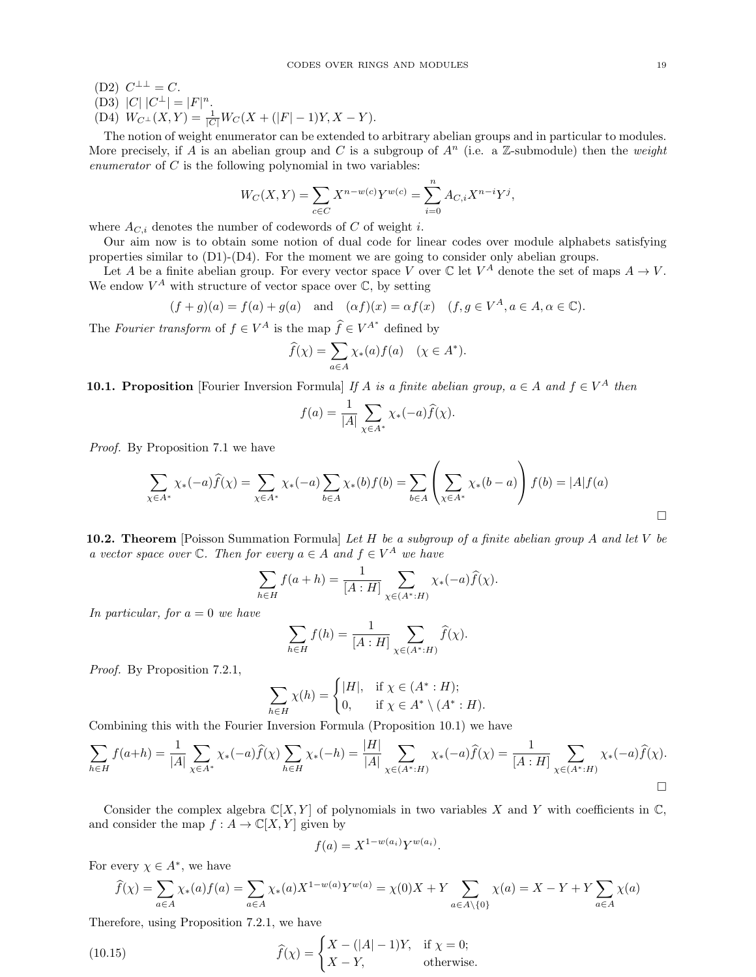(D2)  $C^{\perp \perp} = C$ .

(D3)  $|C|$   $|C^{\perp}| = |F|^{n}$ .

(D4) 
$$
W_{C^{\perp}}(X,Y) = \frac{1}{|C|}W_C(X + (|F| - 1)Y, X - Y).
$$

The notion of weight enumerator can be extended to arbitrary abelian groups and in particular to modules. More precisely, if A is an abelian group and C is a subgroup of  $A^n$  (i.e. a Z-submodule) then the weight enumerator of  $C$  is the following polynomial in two variables:

$$
W_C(X,Y) = \sum_{c \in C} X^{n-w(c)} Y^{w(c)} = \sum_{i=0}^n A_{C,i} X^{n-i} Y^j,
$$

where  $A_{C,i}$  denotes the number of codewords of C of weight i.

Our aim now is to obtain some notion of dual code for linear codes over module alphabets satisfying properties similar to (D1)-(D4). For the moment we are going to consider only abelian groups.

Let A be a finite abelian group. For every vector space V over  $\mathbb C$  let  $V^A$  denote the set of maps  $A \to V$ . We endow  $V^A$  with structure of vector space over  $\mathbb{C}$ , by setting

$$
(f+g)(a) = f(a) + g(a)
$$
 and  $(\alpha f)(x) = \alpha f(x)$   $(f, g \in V^A, a \in A, \alpha \in \mathbb{C}).$ 

The Fourier transform of  $f \in V^A$  is the map  $\hat{f} \in V^{A^*}$  defined by

$$
\widehat{f}(\chi) = \sum_{a \in A} \chi_*(a) f(a) \quad (\chi \in A^*).
$$

<span id="page-18-0"></span>**10.1. Proposition** [Fourier Inversion Formula] If A is a finite abelian group,  $a \in A$  and  $f \in V^A$  then

$$
f(a) = \frac{1}{|A|} \sum_{\chi \in A^*} \chi_*(-a) \widehat{f}(\chi).
$$

Proof. By Proposition [7.1](#page-12-4) we have

$$
\sum_{\chi \in A^*} \chi_*(-a) \hat{f}(\chi) = \sum_{\chi \in A^*} \chi_*(-a) \sum_{b \in A} \chi_*(b) f(b) = \sum_{b \in A} \left( \sum_{\chi \in A^*} \chi_*(b-a) \right) f(b) = |A| f(a)
$$

<span id="page-18-2"></span>10.2. Theorem [Poisson Summation Formula] Let  $H$  be a subgroup of a finite abelian group  $A$  and let  $V$  be a vector space over  $\mathbb C$ . Then for every  $a \in A$  and  $f \in V^A$  we have

$$
\sum_{h \in H} f(a+h) = \frac{1}{[A:H]} \sum_{\chi \in (A^*:H)} \chi_*(-a) \widehat{f}(\chi).
$$

In particular, for  $a = 0$  we have

$$
\sum_{h \in H} f(h) = \frac{1}{[A:H]} \sum_{\chi \in (A^* : H)} \widehat{f}(\chi).
$$

Proof. By Proposition [7.2](#page-12-5)[.1,](#page-12-3)

$$
\sum_{h \in H} \chi(h) = \begin{cases} |H|, & \text{if } \chi \in (A^* : H); \\ 0, & \text{if } \chi \in A^* \setminus (A^* : H). \end{cases}
$$

Combining this with the Fourier Inversion Formula (Proposition [10.1\)](#page-18-0) we have

$$
\sum_{h \in H} f(a+h) = \frac{1}{|A|} \sum_{\chi \in A^*} \chi_*(-a) \widehat{f}(\chi) \sum_{h \in H} \chi_*(-h) = \frac{|H|}{|A|} \sum_{\chi \in (A^* : H)} \chi_*(-a) \widehat{f}(\chi) = \frac{1}{[A:H]} \sum_{\chi \in (A^* : H)} \chi_*(-a) \widehat{f}(\chi).
$$

Consider the complex algebra  $\mathbb{C}[X, Y]$  of polynomials in two variables X and Y with coefficients in  $\mathbb{C}$ , and consider the map  $f : A \to \mathbb{C}[X, Y]$  given by

<span id="page-18-1"></span>
$$
f(a) = X^{1-w(a_i)} Y^{w(a_i)}.
$$

For every  $\chi \in A^*$ , we have

$$
\widehat{f}(\chi) = \sum_{a \in A} \chi_*(a) f(a) = \sum_{a \in A} \chi_*(a) X^{1 - w(a)} Y^{w(a)} = \chi(0) X + Y \sum_{a \in A \setminus \{0\}} \chi(a) = X - Y + Y \sum_{a \in A} \chi(a)
$$

Therefore, using Proposition [7.2](#page-12-5)[.1,](#page-12-3) we have

(10.15) 
$$
\widehat{f}(\chi) = \begin{cases} X - (|A| - 1)Y, & \text{if } \chi = 0; \\ X - Y, & \text{otherwise.} \end{cases}
$$

 $\Box$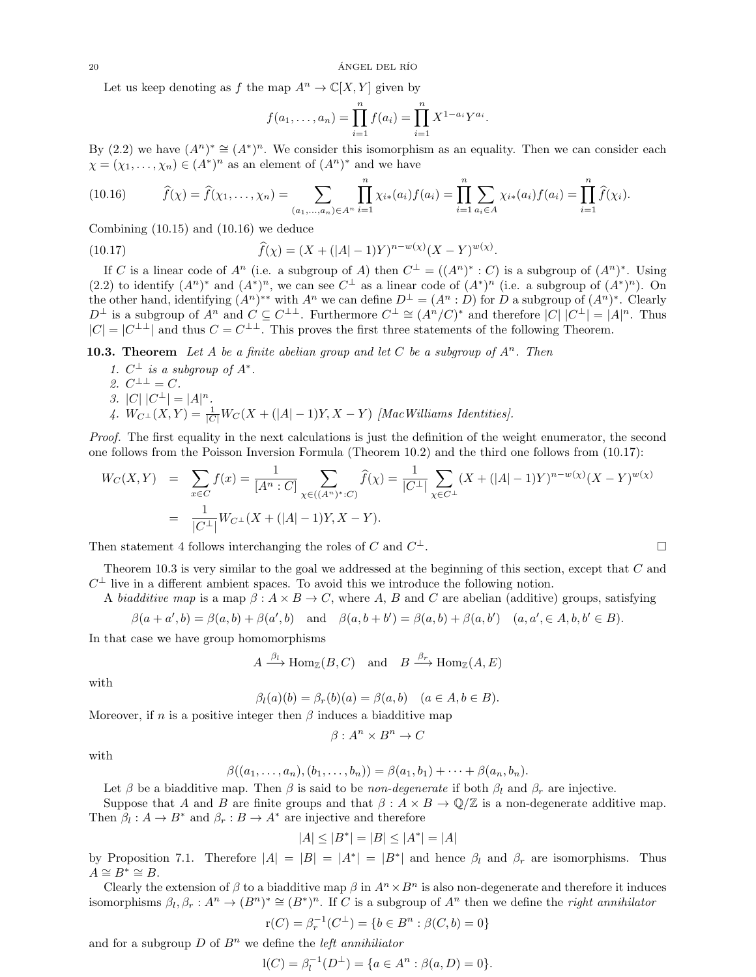Let us keep denoting as f the map  $A^n \to \mathbb{C}[X, Y]$  given by

<span id="page-19-1"></span>
$$
f(a_1,\ldots,a_n) = \prod_{i=1}^n f(a_i) = \prod_{i=1}^n X^{1-a_i} Y^{a_i}.
$$

By [\(2.2\)](#page-3-3) we have  $(A^n)^* \cong (A^*)^n$ . We consider this isomorphism as an equality. Then we can consider each  $\chi = (\chi_1, \ldots, \chi_n) \in (A^*)^n$  as an element of  $(A^n)^*$  and we have

<span id="page-19-0"></span>
$$
(10.16) \qquad \widehat{f}(\chi) = \widehat{f}(\chi_1, \ldots, \chi_n) = \sum_{(a_1, \ldots, a_n) \in A^n} \prod_{i=1}^n \chi_{i^*}(a_i) f(a_i) = \prod_{i=1}^n \sum_{a_i \in A} \chi_{i^*}(a_i) f(a_i) = \prod_{i=1}^n \widehat{f}(\chi_i).
$$

Combining [\(10.15\)](#page-18-1) and [\(10.16\)](#page-19-0) we deduce

(10.17) 
$$
\widehat{f}(\chi) = (X + (|A| - 1)Y)^{n - w(\chi)}(X - Y)^{w(\chi)}.
$$

If C is a linear code of  $A^n$  (i.e. a subgroup of A) then  $C^{\perp} = ((A^n)^* : C)$  is a subgroup of  $(A^n)^*$ . Using [\(2.2\)](#page-3-3) to identify  $(A^n)^*$  and  $(A^*)^n$ , we can see  $C^{\perp}$  as a linear code of  $(A^*)^n$  (i.e. a subgroup of  $(A^*)^n$ ). On the other hand, identifying  $(A^n)^{**}$  with  $A^n$  we can define  $D^{\perp} = (A^n : D)$  for D a subgroup of  $(A^n)^*$ . Clearly  $D^{\perp}$  is a subgroup of  $A^n$  and  $C \subseteq C^{\perp\perp}$ . Furthermore  $C^{\perp} \cong (A^n/C)^*$  and therefore  $|C|$   $|C^{\perp}| = |A|^n$ . Thus  $|C| = |C^{\perp \perp}|$  and thus  $C = C^{\perp \perp}$ . This proves the first three statements of the following Theorem.

<span id="page-19-2"></span>**10.3. Theorem** Let A be a finite abelian group and let C be a subgroup of  $A^n$ . Then

- 1.  $C^{\perp}$  is a subgroup of  $A^*$ . 2.  $C^{\perp \perp} = C$ .
- 3. |C|  $|C^{\perp}| = |A|^n$ .
- 4.  $W_{C^{\perp}}(X,Y) = \frac{1}{|C|}W_C(X+(|A|-1)Y, X-Y)$  [MacWilliams Identities].

Proof. The first equality in the next calculations is just the definition of the weight enumerator, the second one follows from the Poisson Inversion Formula (Theorem [10.2\)](#page-18-2) and the third one follows from [\(10.17\)](#page-19-1):

$$
W_C(X,Y) = \sum_{x \in C} f(x) = \frac{1}{[A^n : C]} \sum_{\chi \in ((A^n)^* : C)} \widehat{f}(\chi) = \frac{1}{|C^\perp|} \sum_{\chi \in C^\perp} (X + (|A| - 1)Y)^{n - w(\chi)} (X - Y)^{w(\chi)}
$$
  
= 
$$
\frac{1}{|C^\perp|} W_{C^\perp}(X + (|A| - 1)Y, X - Y).
$$

Then statement 4 follows interchanging the roles of C and  $C^{\perp}$ .

Theorem [10.3](#page-19-2) is very similar to the goal we addressed at the beginning of this section, except that C and  $C^{\perp}$  live in a different ambient spaces. To avoid this we introduce the following notion.

A biadditive map is a map  $\beta: A \times B \to C$ , where A, B and C are abelian (additive) groups, satisfying

$$
\beta(a+a',b)=\beta(a,b)+\beta(a',b) \quad \text{and} \quad \beta(a,b+b')=\beta(a,b)+\beta(a,b') \quad (a,a',\in A,b,b'\in B).
$$

In that case we have group homomorphisms

$$
A \xrightarrow{\beta_l} \text{Hom}_{\mathbb{Z}}(B, C)
$$
 and  $B \xrightarrow{\beta_r} \text{Hom}_{\mathbb{Z}}(A, E)$ 

with

$$
\beta_l(a)(b) = \beta_r(b)(a) = \beta(a, b) \quad (a \in A, b \in B).
$$

Moreover, if n is a positive integer then  $\beta$  induces a biadditive map

$$
\beta: A^n \times B^n \to C
$$

with

$$
\beta((a_1, ..., a_n), (b_1, ..., b_n)) = \beta(a_1, b_1) + \cdots + \beta(a_n, b_n).
$$

Let  $\beta$  be a biadditive map. Then  $\beta$  is said to be *non-degenerate* if both  $\beta_l$  and  $\beta_r$  are injective. Suppose that A and B are finite groups and that  $\beta : A \times B \to \mathbb{Q}/\mathbb{Z}$  is a non-degenerate additive map.

Then  $\beta_l : A \to B^*$  and  $\beta_r : B \to A^*$  are injective and therefore

$$
|A| \le |B^*| = |B| \le |A^*| = |A|
$$

by Proposition [7.1.](#page-12-4) Therefore  $|A| = |B| = |A^*| = |B^*|$  and hence  $\beta_l$  and  $\beta_r$  are isomorphisms. Thus  $A \cong B^* \cong B$ .

Clearly the extension of  $\beta$  to a biadditive map  $\beta$  in  $A^n \times B^n$  is also non-degenerate and therefore it induces isomorphisms  $\beta_l, \beta_r : A^n \to (B^n)^* \cong (B^*)^n$ . If C is a subgroup of  $A^n$  then we define the *right annihilator* 

$$
r(C) = \beta_r^{-1}(C^{\perp}) = \{b \in B^n : \beta(C, b) = 0\}
$$

and for a subgroup  $D$  of  $B<sup>n</sup>$  we define the *left annihiliator* 

$$
l(C) = \beta_l^{-1}(D^{\perp}) = \{a \in A^n : \beta(a, D) = 0\}.
$$

<sup>⊥</sup>.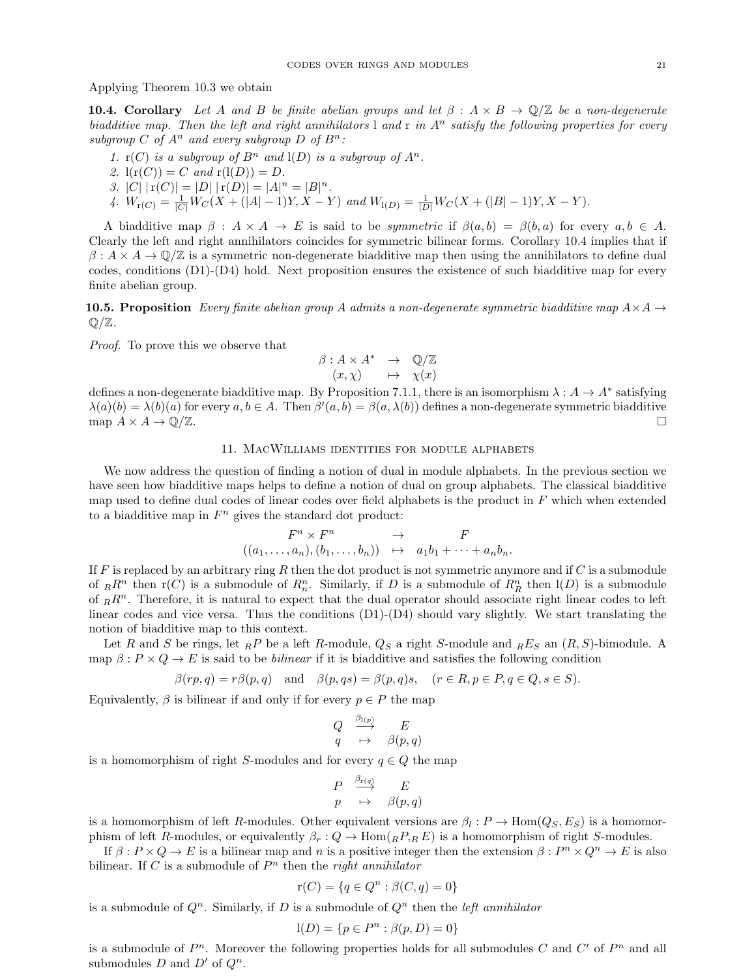Applying Theorem [10.3](#page-19-2) we obtain

<span id="page-20-0"></span>**10.4. Corollary** Let A and B be finite abelian groups and let  $\beta : A \times B \to \mathbb{O}/\mathbb{Z}$  be a non-degenerate biadditive map. Then the left and right annihilators l and r in  $A<sup>n</sup>$  satisfy the following properties for every subgroup C of  $A^n$  and every subgroup D of  $B^n$ :

- 1.  $r(C)$  is a subgroup of  $B^n$  and  $I(D)$  is a subgroup of  $A^n$ .
- 2.  $l(r(C)) = C$  and  $r(l(D)) = D$ .
- 3. |C|  $|r(C)| = |D| |r(D)| = |A|^n = |B|^n$ .
- 4.  $W_{r(C)} = \frac{1}{|C|} W_C(X + (|A| 1)Y, X Y)$  and  $W_{1(D)} = \frac{1}{|D|} W_C(X + (|B| 1)Y, X Y)$ .

A biadditive map  $\beta : A \times A \to E$  is said to be *symmetric* if  $\beta(a, b) = \beta(b, a)$  for every  $a, b \in A$ . Clearly the left and right annihilators coincides for symmetric bilinear forms. Corollary [10.4](#page-20-0) implies that if  $\beta: A \times A \to \mathbb{Q}/\mathbb{Z}$  is a symmetric non-degenerate biadditive map then using the annihilators to define dual codes, conditions (D1)-(D4) hold. Next proposition ensures the existence of such biadditive map for every finite abelian group.

**10.5. Proposition** Every finite abelian group A admits a non-degenerate symmetric biadditive map  $A \times A \rightarrow$  $\mathbb{Q}/\mathbb{Z}$ .

Proof. To prove this we observe that

$$
\begin{array}{rcl}\n\beta: A \times A^* & \to & \mathbb{Q}/\mathbb{Z} \\
(x, \chi) & \mapsto & \chi(x)\n\end{array}
$$

defines a non-degenerate biadditive map. By Proposition [7.1.](#page-12-4)[1,](#page-12-0) there is an isomorphism  $\lambda: A \to A^*$  satisfying  $\lambda(a)(b) = \lambda(b)(a)$  for every  $a, b \in A$ . Then  $\beta'(a, b) = \beta(a, \lambda(b))$  defines a non-degenerate symmetric biadditive map  $A \times A \to \mathbb{Q}/\mathbb{Z}$ .

## 11. MacWilliams identities for module alphabets

We now address the question of finding a notion of dual in module alphabets. In the previous section we have seen how biadditive maps helps to define a notion of dual on group alphabets. The classical biadditive map used to define dual codes of linear codes over field alphabets is the product in  $F$  which when extended to a biadditive map in  $F<sup>n</sup>$  gives the standard dot product:

$$
F^n \times F^n \rightarrow \begin{array}{c} F^n \times F^n & \to & F \\ ((a_1, \ldots, a_n), (b_1, \ldots, b_n)) & \mapsto & a_1b_1 + \cdots + a_nb_n. \end{array}
$$

If  $F$  is replaced by an arbitrary ring  $R$  then the dot product is not symmetric anymore and if  $C$  is a submodule of  $_R R^n$  then  $r(C)$  is a submodule of  $R_n^n$ . Similarly, if D is a submodule of  $R_R^n$  then  $l(D)$  is a submodule of  $_R R^n$ . Therefore, it is natural to expect that the dual operator should associate right linear codes to left linear codes and vice versa. Thus the conditions (D1)-(D4) should vary slightly. We start translating the notion of biadditive map to this context.

Let R and S be rings, let  $_R P$  be a left R-module,  $Q_S$  a right S-module and  $_R E_S$  an  $(R, S)$ -bimodule. A map  $\beta: P \times Q \to E$  is said to be *bilinear* if it is biadditive and satisfies the following condition

$$
\beta(rp,q) = r\beta(p,q)
$$
 and  $\beta(p,qs) = \beta(p,q)s$ ,  $(r \in R, p \in P, q \in Q, s \in S)$ .

Equivalently,  $\beta$  is bilinear if and only if for every  $p \in P$  the map

$$
\begin{array}{ccc}Q&\stackrel{\beta_{1(p)}}{\longrightarrow}&E\\q&\mapsto&\beta(p,q)\end{array}
$$

is a homomorphism of right S-modules and for every  $q \in Q$  the map

$$
\begin{array}{ccc}\nP & \xrightarrow{\beta_{r(q)}} & E \\
p & \mapsto & \beta(p,q)\n\end{array}
$$

is a homomorphism of left R-modules. Other equivalent versions are  $\beta_l : P \to \text{Hom}(Q_S, E_S)$  is a homomorphism of left R-modules, or equivalently  $\beta_r : Q \to \text{Hom}_{(R_1,R_2)}$  is a homomorphism of right S-modules.

If  $\beta: P \times Q \to E$  is a bilinear map and n is a positive integer then the extension  $\beta: P^n \times Q^n \to E$  is also bilinear. If C is a submodule of  $P<sup>n</sup>$  then the *right annihilator* 

$$
r(C) = \{ q \in Q^n : \beta(C, q) = 0 \}
$$

is a submodule of  $Q<sup>n</sup>$ . Similarly, if D is a submodule of  $Q<sup>n</sup>$  then the *left annihilator* 

$$
l(D) = \{ p \in P^n : \beta(p, D) = 0 \}
$$

is a submodule of  $P^n$ . Moreover the following properties holds for all submodules C and  $C'$  of  $P^n$  and all submodules D and  $D'$  of  $Q^n$ .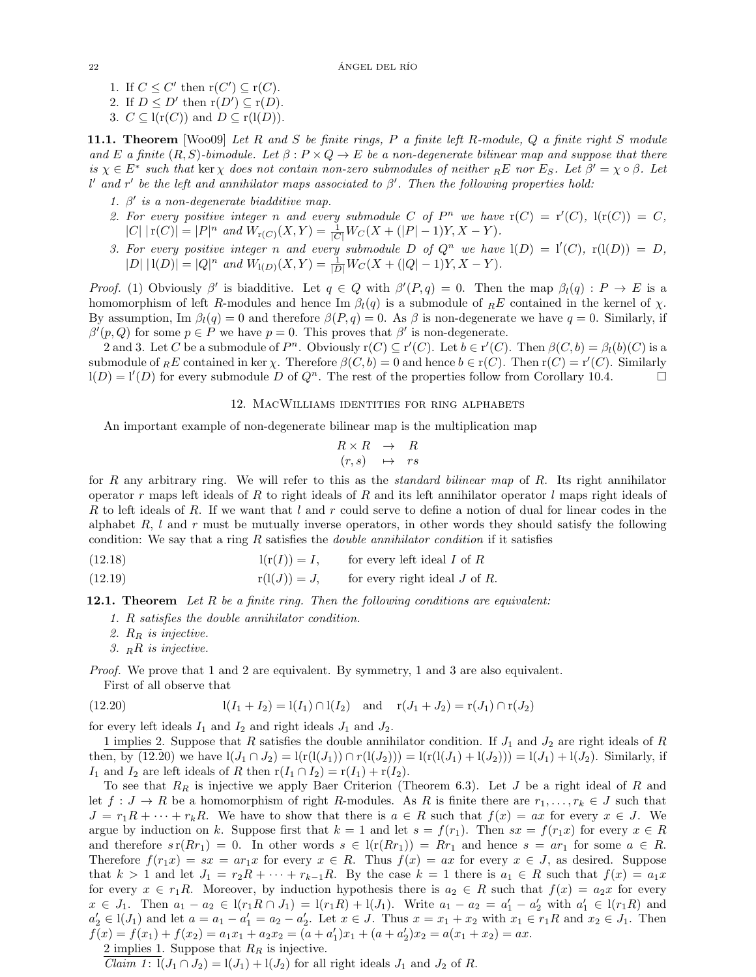- 1. If  $C \leq C'$  then  $r(C') \subseteq r(C)$ .
- 2. If  $D \leq D'$  then  $r(D') \subseteq r(D)$ .
- 3.  $C \subseteq l(r(C))$  and  $D \subseteq r(l(D)).$

<span id="page-21-3"></span>11.1. Theorem [\[Woo09\]](#page-23-0) Let R and S be finite rings, P a finite left R-module, Q a finite right S module and E a finite  $(R, S)$ -bimodule. Let  $\beta : P \times Q \to E$  be a non-degenerate bilinear map and suppose that there is  $\chi \in E^*$  such that ker  $\chi$  does not contain non-zero submodules of neither  $_E E$  nor  $E_S$ . Let  $\beta' = \chi \circ \beta$ . Let l' and r' be the left and annihilator maps associated to  $\beta'$ . Then the following properties hold:

- <span id="page-21-0"></span>1.  $\beta'$  is a non-degenerate biadditive map.
- 2. For every positive integer n and every submodule C of  $P^n$  we have  $r(C) = r'(C)$ ,  $l(r(C)) = C$ ,  $|C| |r(C)| = |P|^n$  and  $W_{r(C)}(X, Y) = \frac{1}{|C|} W_C(X + (|P| - 1)Y, X - Y).$
- 3. For every positive integer n and every submodule D of  $Q^n$  we have  $l(D) = l'(C)$ ,  $r(l(D)) = D$ ,  $|D| |1(D)| = |Q|^n$  and  $W_{1(D)}(X,Y) = \frac{1}{|D|} W_C(X + (|Q|-1)Y, X - Y).$

Proof. [\(1\)](#page-21-0) Obviously  $\beta'$  is biadditive. Let  $q \in Q$  with  $\beta'(P,q) = 0$ . Then the map  $\beta_l(q) : P \to E$  is a homomorphism of left R-modules and hence Im  $\beta_l(q)$  is a submodule of  $_R E$  contained in the kernel of  $\chi$ . By assumption, Im  $\beta_l(q) = 0$  and therefore  $\beta(P, q) = 0$ . As  $\beta$  is non-degenerate we have  $q = 0$ . Similarly, if  $\beta'(p, Q)$  for some  $p \in P$  we have  $p = 0$ . This proves that  $\beta'$  is non-degenerate.

2 and 3. Let C be a submodule of  $P^n$ . Obviously  $r(C) \subseteq r'(C)$ . Let  $b \in r'(C)$ . Then  $\beta(C, b) = \beta_l(b)(C)$  is a submodule of  ${}_{R}E$  contained in ker  $\chi$ . Therefore  $\beta(C, b) = 0$  and hence  $b \in r(C)$ . Then  $r(C) = r'(C)$ . Similarly  $l(D) = l'(D)$  for every submodule D of  $Q^n$ . The rest of the properties follow from Corollary [10.4.](#page-20-0)

## 12. MacWilliams identities for ring alphabets

An important example of non-degenerate bilinear map is the multiplication map

<span id="page-21-2"></span>
$$
\begin{array}{rcl} R \times R & \to & R \\ (r,s) & \mapsto & rs \end{array}
$$

for  $R$  any arbitrary ring. We will refer to this as the *standard bilinear map* of  $R$ . Its right annihilator operator r maps left ideals of R to right ideals of R and its left annihilator operator  $l$  maps right ideals of R to left ideals of R. If we want that l and r could serve to define a notion of dual for linear codes in the alphabet R,  $l$  and r must be mutually inverse operators, in other words they should satisfy the following condition: We say that a ring  $R$  satisfies the *double annihilator condition* if it satisfies

(12.18) 
$$
l(r(I)) = I, \qquad \text{for every left ideal } I \text{ of } R
$$

(12.19) 
$$
r(l(J)) = J, \qquad \text{for every right ideal } J \text{ of } R.
$$

**12.1. Theorem** Let R be a finite ring. Then the following conditions are equivalent:

- 1. R satisfies the double annihilator condition.
- 2.  $R_R$  is injective.
- 3.  $_R$ R is injective.

Proof. We prove that 1 and 2 are equivalent. By symmetry, 1 and 3 are also equivalent.

<span id="page-21-1"></span>First of all observe that

(12.20) 
$$
l(I_1 + I_2) = l(I_1) \cap l(I_2) \text{ and } r(J_1 + J_2) = r(J_1) \cap r(J_2)
$$

for every left ideals  $I_1$  and  $I_2$  and right ideals  $J_1$  and  $J_2$ .

1 implies 2. Suppose that R satisfies the double annihilator condition. If  $J_1$  and  $J_2$  are right ideals of R then, by [\(12.20\)](#page-21-1) we have  $l(J_1 \cap J_2) = l(r(l(J_1)) \cap r(l(J_2))) = l(r(l(J_1) + l(J_2))) = l(J_1) + l(J_2)$ . Similarly, if I<sub>1</sub> and I<sub>2</sub> are left ideals of R then  $r(I_1 \cap I_2) = r(I_1) + r(I_2)$ .

To see that  $R_R$  is injective we apply Baer Criterion (Theorem [6.3\)](#page-10-3). Let J be a right ideal of R and let  $f: J \to R$  be a homomorphism of right R-modules. As R is finite there are  $r_1, \ldots, r_k \in J$  such that  $J = r_1R + \cdots + r_kR$ . We have to show that there is  $a \in R$  such that  $f(x) = ax$  for every  $x \in J$ . We argue by induction on k. Suppose first that  $k = 1$  and let  $s = f(r_1)$ . Then  $sx = f(r_1x)$  for every  $x \in R$ and therefore  $s \, r(Rr_1) = 0$ . In other words  $s \in l(r(Rr_1)) = Rr_1$  and hence  $s = ar_1$  for some  $a \in R$ . Therefore  $f(r_1x) = sx = ar_1x$  for every  $x \in R$ . Thus  $f(x) = ax$  for every  $x \in J$ , as desired. Suppose that  $k > 1$  and let  $J_1 = r_2R + \cdots + r_{k-1}R$ . By the case  $k = 1$  there is  $a_1 \in R$  such that  $f(x) = a_1x$ for every  $x \in r_1R$ . Moreover, by induction hypothesis there is  $a_2 \in R$  such that  $f(x) = a_2x$  for every  $x \in J_1$ . Then  $a_1 - a_2 \in \mathcal{I}(r_1R \cap J_1) = \mathcal{I}(r_1R) + \mathcal{I}(J_1)$ . Write  $a_1 - a_2 = a'_1 - a'_2$  with  $a'_1 \in \mathcal{I}(r_1R)$  and  $a'_2 \in l(J_1)$  and let  $a = a_1 - a'_1 = a_2 - a'_2$ . Let  $x \in J$ . Thus  $x = x_1 + x_2$  with  $x_1 \in r_1R$  and  $x_2 \in J_1$ . Then  $f(x) = f(x_1) + f(x_2) = a_1x_1 + a_2x_2 = (a + a'_1)x_1 + (a + a'_2)x_2 = a(x_1 + x_2) = ax.$ 

2 implies 1. Suppose that  $R_R$  is injective.

*Claim 1*: 
$$
l(J_1 \cap J_2) = l(J_1) + l(J_2)
$$
 for all right ideals  $J_1$  and  $J_2$  of R.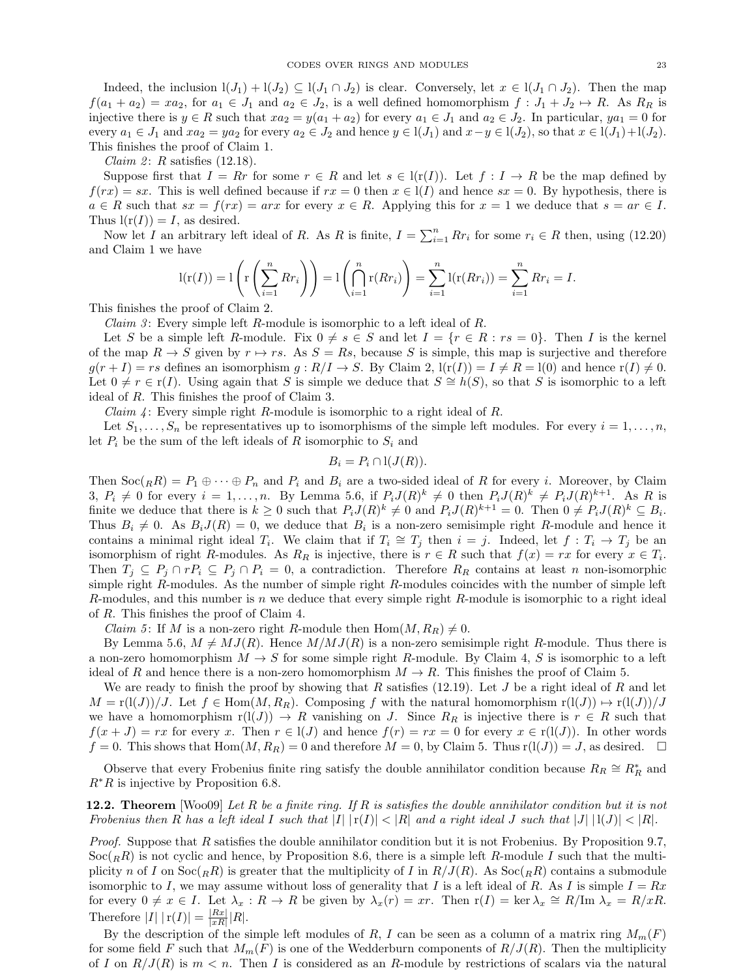Indeed, the inclusion  $l(J_1) + l(J_2) \subseteq l(J_1 \cap J_2)$  is clear. Conversely, let  $x \in l(J_1 \cap J_2)$ . Then the map  $f(a_1 + a_2) = xa_2$ , for  $a_1 \in J_1$  and  $a_2 \in J_2$ , is a well defined homomorphism  $f : J_1 + J_2 \mapsto R$ . As  $R_R$  is injective there is  $y \in R$  such that  $xa_2 = y(a_1 + a_2)$  for every  $a_1 \in J_1$  and  $a_2 \in J_2$ . In particular,  $ya_1 = 0$  for every  $a_1 \in J_1$  and  $xa_2 = ya_2$  for every  $a_2 \in J_2$  and hence  $y \in l(J_1)$  and  $x-y \in l(J_2)$ , so that  $x \in l(J_1)+l(J_2)$ . This finishes the proof of Claim 1.

*Claim 2: R* satisfies  $(12.18)$ .

Suppose first that  $I = Rr$  for some  $r \in R$  and let  $s \in l(r(I))$ . Let  $f: I \to R$  be the map defined by  $f(rx) = sx$ . This is well defined because if  $rx = 0$  then  $x \in l(I)$  and hence  $sx = 0$ . By hypothesis, there is  $a \in R$  such that  $sx = f(rx) = arx$  for every  $x \in R$ . Applying this for  $x = 1$  we deduce that  $s = ar \in I$ . Thus  $l(r(I)) = I$ , as desired.

Now let I an arbitrary left ideal of R. As R is finite,  $I = \sum_{i=1}^{n} Rr_i$  for some  $r_i \in R$  then, using [\(12.20\)](#page-21-1) and Claim 1 we have

$$
l(r(I)) = l\left(r\left(\sum_{i=1}^{n} Rr_i\right)\right) = l\left(\bigcap_{i=1}^{n} r(Rr_i)\right) = \sum_{i=1}^{n} l(r(Rr_i)) = \sum_{i=1}^{n} Rr_i = I.
$$

This finishes the proof of Claim 2.

*Claim 3*: Every simple left  $R$ -module is isomorphic to a left ideal of  $R$ .

Let S be a simple left R-module. Fix  $0 \neq s \in S$  and let  $I = \{r \in R : rs = 0\}$ . Then I is the kernel of the map  $R \to S$  given by  $r \mapsto rs$ . As  $S = Rs$ , because S is simple, this map is surjective and therefore  $g(r + I) = rs$  defines an isomorphism  $g: R/I \to S$ . By Claim 2,  $l(r(I)) = I \neq R = l(0)$  and hence  $r(I) \neq 0$ . Let  $0 \neq r \in r(I)$ . Using again that S is simple we deduce that  $S \cong h(S)$ , so that S is isomorphic to a left ideal of R. This finishes the proof of Claim 3.

*Claim 4*: Every simple right R-module is isomorphic to a right ideal of R.

Let  $S_1, \ldots, S_n$  be representatives up to isomorphisms of the simple left modules. For every  $i = 1, \ldots, n$ , let  $P_i$  be the sum of the left ideals of R isomorphic to  $S_i$  and

$$
B_i = P_i \cap l(J(R)).
$$

Then  $Soc(R) = P_1 \oplus \cdots \oplus P_n$  and  $P_i$  and  $B_i$  are a two-sided ideal of R for every i. Moreover, by Claim 3,  $P_i \neq 0$  for every  $i = 1, ..., n$ . By Lemma [5.6,](#page-9-1) if  $P_i J(R)^k \neq 0$  then  $P_i J(R)^k \neq P_i J(R)^{k+1}$ . As R is finite we deduce that there is  $k \geq 0$  such that  $P_i J(R)^k \neq 0$  and  $P_i J(R)^{k+1} = 0$ . Then  $0 \neq P_i J(R)^k \subseteq B_i$ . Thus  $B_i \neq 0$ . As  $B_i J(R) = 0$ , we deduce that  $B_i$  is a non-zero semisimple right R-module and hence it contains a minimal right ideal  $T_i$ . We claim that if  $T_i \cong T_j$  then  $i = j$ . Indeed, let  $f : T_i \to T_j$  be an isomorphism of right R-modules. As  $R_R$  is injective, there is  $r \in R$  such that  $f(x) = rx$  for every  $x \in T_i$ . Then  $T_j \subseteq P_j \cap rP_i \subseteq P_j \cap P_i = 0$ , a contradiction. Therefore  $R_R$  contains at least n non-isomorphic simple right R-modules. As the number of simple right R-modules coincides with the number of simple left R-modules, and this number is n we deduce that every simple right R-module is isomorphic to a right ideal of R. This finishes the proof of Claim 4.

*Claim 5*: If M is a non-zero right R-module then  $Hom(M, R_R) \neq 0$ .

By Lemma [5.6,](#page-9-1)  $M \neq MJ(R)$ . Hence  $M/MJ(R)$  is a non-zero semisimple right R-module. Thus there is a non-zero homomorphism  $M \to S$  for some simple right R-module. By Claim 4, S is isomorphic to a left ideal of R and hence there is a non-zero homomorphism  $M \to R$ . This finishes the proof of Claim 5.

We are ready to finish the proof by showing that R satisfies [\(12.19\)](#page-21-2). Let J be a right ideal of R and let  $M = \frac{r(1(J))/J}{r}$ . Let  $f \in \text{Hom}(M, R_R)$ . Composing f with the natural homomorphism  $r(1(J)) \mapsto r(1(J))/J$ . we have a homomorphism  $r(I(J)) \to R$  vanishing on J. Since  $R_R$  is injective there is  $r \in R$  such that  $f(x + J) = rx$  for every x. Then  $r \in l(J)$  and hence  $f(r) = rx = 0$  for every  $x \in r(l(J))$ . In other words  $f = 0$ . This shows that  $Hom(M, R_R) = 0$  and therefore  $M = 0$ , by Claim 5. Thus  $r(1(J)) = J$ , as desired.  $\Box$ 

Observe that every Frobenius finite ring satisfy the double annihilator condition because  $R_R \cong R_R^*$  and  $R<sup>*</sup>R$  is injective by Proposition [6.8.](#page-11-2)

<span id="page-22-0"></span>**12.2. Theorem** [\[Woo09\]](#page-23-0) Let R be a finite ring. If R is satisfies the double annihilator condition but it is not Frobenius then R has a left ideal I such that  $|I| \cdot |r(I)| < |R|$  and a right ideal J such that  $|J| \cdot |I(J)| < |R|$ .

Proof. Suppose that R satisfies the double annihilator condition but it is not Frobenius. By Proposition [9.7,](#page-17-2)  $\operatorname{Soc}({}_RR)$  is not cyclic and hence, by Proposition [8.6,](#page-15-3) there is a simple left R-module I such that the multiplicity n of I on  $Soc(RR)$  is greater that the multiplicity of I in  $R/J(R)$ . As  $Soc(RR)$  contains a submodule isomorphic to I, we may assume without loss of generality that I is a left ideal of R. As I is simple  $I = Rx$ for every  $0 \neq x \in I$ . Let  $\lambda_x : R \to R$  be given by  $\lambda_x(r) = xr$ . Then  $r(I) = \text{ker } \lambda_x \cong R/\text{Im } \lambda_x = R/xR$ . Therefore  $|I| |r(I)| = \frac{|Rx|}{|x|}$  $\frac{|Rx|}{|xR|}|R|.$ 

By the description of the simple left modules of R, I can be seen as a column of a matrix ring  $M_m(F)$ for some field F such that  $M_m(F)$  is one of the Wedderburn components of  $R/J(R)$ . Then the multiplicity of I on  $R/J(R)$  is  $m < n$ . Then I is considered as an R-module by restrictions of scalars via the natural